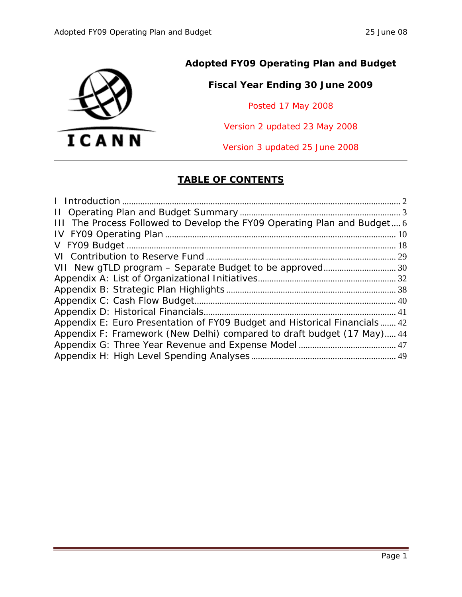

### **Adopted FY09 Operating Plan and Budget**

### **Fiscal Year Ending 30 June 2009**

Posted 17 May 2008

Version 2 updated 23 May 2008

Version 3 updated 25 June 2008

### **TABLE OF CONTENTS**

| III The Process Followed to Develop the FY09 Operating Plan and Budget 6  |
|---------------------------------------------------------------------------|
|                                                                           |
|                                                                           |
|                                                                           |
|                                                                           |
|                                                                           |
|                                                                           |
|                                                                           |
|                                                                           |
|                                                                           |
|                                                                           |
| Appendix E: Euro Presentation of FY09 Budget and Historical Financials 42 |
| Appendix F: Framework (New Delhi) compared to draft budget (17 May) 44    |
|                                                                           |
|                                                                           |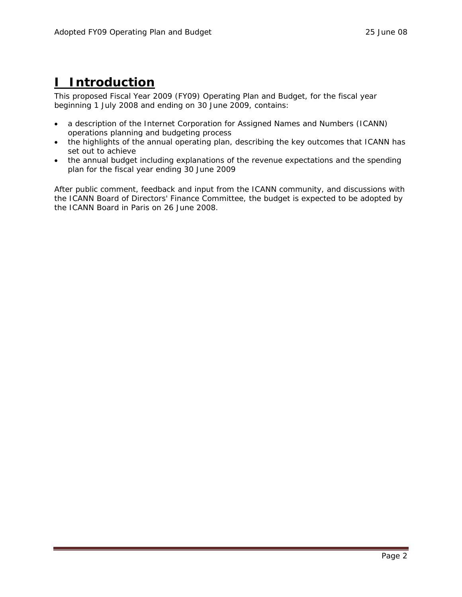## <span id="page-1-0"></span>**I Introduction**

This proposed Fiscal Year 2009 (FY09) Operating Plan and Budget, for the fiscal year beginning 1 July 2008 and ending on 30 June 2009, contains:

- a description of the Internet Corporation for Assigned Names and Numbers (ICANN) operations planning and budgeting process
- the highlights of the annual operating plan, describing the key outcomes that ICANN has set out to achieve
- the annual budget including explanations of the revenue expectations and the spending plan for the fiscal year ending 30 June 2009

After public comment, feedback and input from the ICANN community, and discussions with the ICANN Board of Directors' Finance Committee, the budget is expected to be adopted by the ICANN Board in Paris on 26 June 2008.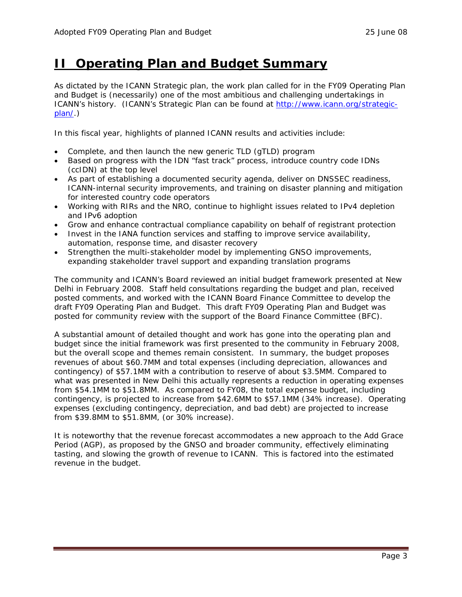### <span id="page-2-0"></span>**II Operating Plan and Budget Summary**

As dictated by the ICANN Strategic plan, the work plan called for in the FY09 Operating Plan and Budget is (necessarily) one of the most ambitious and challenging undertakings in ICANN's history. (ICANN's Strategic Plan can be found at [http://www.icann.org/strategic](http://www.icann.org/strategic-plan/)[plan/.](http://www.icann.org/strategic-plan/))

In this fiscal year, highlights of planned ICANN results and activities include:

- Complete, and then launch the new generic TLD (gTLD) program
- Based on progress with the IDN "fast track" process, introduce country code IDNs (ccIDN) at the top level
- As part of establishing a documented security agenda, deliver on DNSSEC readiness, ICANN-internal security improvements, and training on disaster planning and mitigation for interested country code operators
- Working with RIRs and the NRO, continue to highlight issues related to IPv4 depletion and IPv6 adoption
- Grow and enhance contractual compliance capability on behalf of registrant protection
- Invest in the IANA function services and staffing to improve service availability, automation, response time, and disaster recovery
- Strengthen the multi-stakeholder model by implementing GNSO improvements, expanding stakeholder travel support and expanding translation programs

The community and ICANN's Board reviewed an initial budget framework presented at New Delhi in February 2008. Staff held consultations regarding the budget and plan, received posted comments, and worked with the ICANN Board Finance Committee to develop the draft FY09 Operating Plan and Budget. This draft FY09 Operating Plan and Budget was posted for community review with the support of the Board Finance Committee (BFC).

A substantial amount of detailed thought and work has gone into the operating plan and budget since the initial framework was first presented to the community in February 2008, but the overall scope and themes remain consistent. In summary, the budget proposes revenues of about \$60.7MM and total expenses (including depreciation, allowances and contingency) of \$57.1MM with a contribution to reserve of about \$3.5MM. Compared to what was presented in New Delhi this actually represents a reduction in operating expenses from \$54.1MM to \$51.8MM. As compared to FY08, the total expense budget, including contingency, is projected to increase from \$42.6MM to \$57.1MM (34% increase). Operating expenses (excluding contingency, depreciation, and bad debt) are projected to increase from \$39.8MM to \$51.8MM, (or 30% increase).

It is noteworthy that the revenue forecast accommodates a new approach to the Add Grace Period (AGP), as proposed by the GNSO and broader community, effectively eliminating tasting, and slowing the growth of revenue to ICANN. This is factored into the estimated revenue in the budget.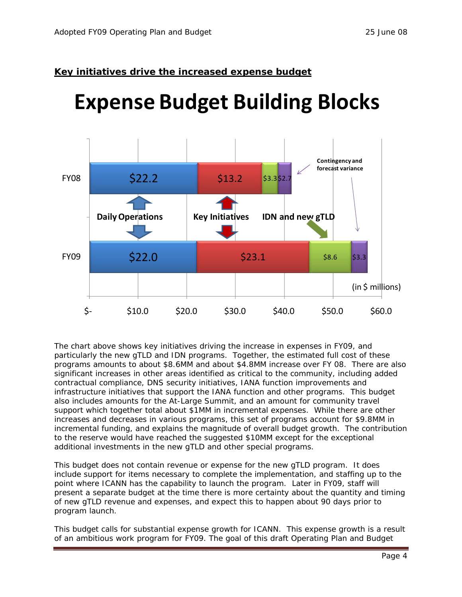### **Key initiatives drive the increased expense budget**

# **Expense Budget Building Blocks**



The chart above shows key initiatives driving the increase in expenses in FY09, and particularly the new gTLD and IDN programs. Together, the estimated full cost of these programs amounts to about \$8.6MM and about \$4.8MM increase over FY 08. There are also significant increases in other areas identified as critical to the community, including added contractual compliance, DNS security initiatives, IANA function improvements and infrastructure initiatives that support the IANA function and other programs. This budget also includes amounts for the At-Large Summit, and an amount for community travel support which together total about \$1MM in incremental expenses. While there are other increases and decreases in various programs, this set of programs account for \$9.8MM in incremental funding, and explains the magnitude of overall budget growth. The contribution to the reserve would have reached the suggested \$10MM except for the exceptional additional investments in the new gTLD and other special programs.

This budget does not contain revenue or expense for the new gTLD program. It does include support for items necessary to complete the implementation, and staffing up to the point where ICANN has the capability to launch the program. Later in FY09, staff will present a separate budget at the time there is more certainty about the quantity and timing of new gTLD revenue and expenses, and expect this to happen about 90 days prior to program launch.

This budget calls for substantial expense growth for ICANN. This expense growth is a result of an ambitious work program for FY09. The goal of this draft Operating Plan and Budget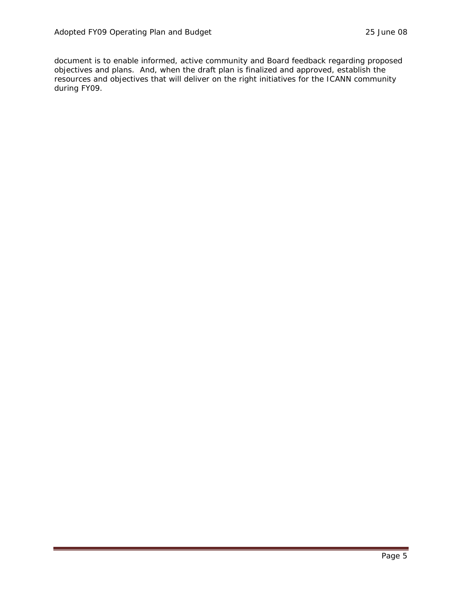document is to enable informed, active community and Board feedback regarding proposed objectives and plans. And, when the draft plan is finalized and approved, establish the resources and objectives that will deliver on the right initiatives for the ICANN community during FY09.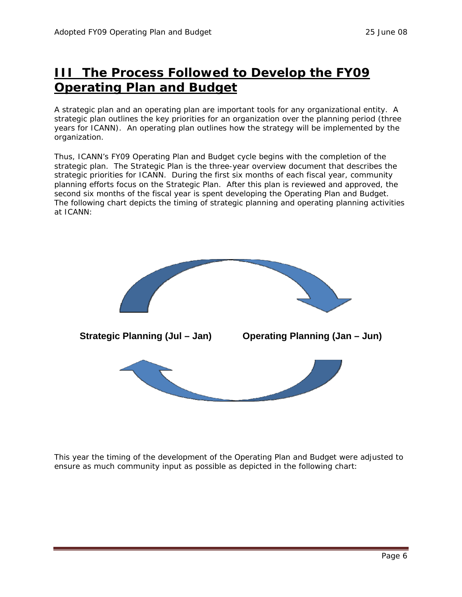## <span id="page-5-0"></span>**III The Process Followed to Develop the FY09 Operating Plan and Budget**

A strategic plan and an operating plan are important tools for any organizational entity. A strategic plan outlines the key priorities for an organization over the planning period (three years for ICANN). An operating plan outlines how the strategy will be implemented by the organization.

Thus, ICANN's FY09 Operating Plan and Budget cycle begins with the completion of the strategic plan. The Strategic Plan is the three-year overview document that describes the strategic priorities for ICANN. During the first six months of each fiscal year, community planning efforts focus on the Strategic Plan. After this plan is reviewed and approved, the second six months of the fiscal year is spent developing the Operating Plan and Budget. The following chart depicts the timing of strategic planning and operating planning activities at ICANN:



This year the timing of the development of the Operating Plan and Budget were adjusted to ensure as much community input as possible as depicted in the following chart: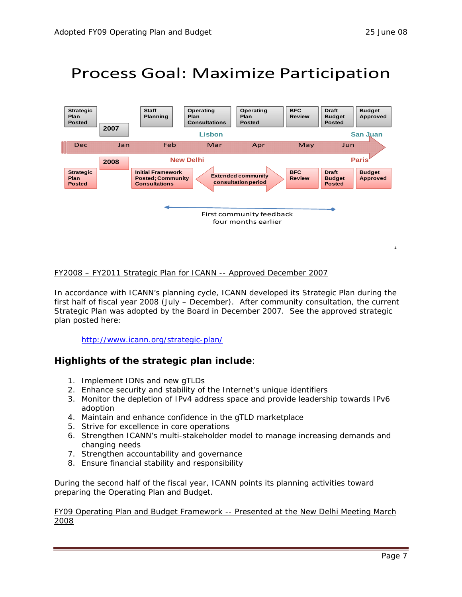1

## Process Goal: Maximize Participation



### FY2008 – FY2011 Strategic Plan for ICANN -- Approved December 2007

In accordance with ICANN's planning cycle, ICANN developed its Strategic Plan during the first half of fiscal year 2008 (July – December). After community consultation, the current Strategic Plan was adopted by the Board in December 2007. See the approved strategic plan posted here:

### <http://www.icann.org/strategic-plan/>

### **Highlights of the strategic plan include**:

- 1. Implement IDNs and new gTLDs
- 2. Enhance security and stability of the Internet's unique identifiers
- 3. Monitor the depletion of IPv4 address space and provide leadership towards IPv6 adoption
- 4. Maintain and enhance confidence in the gTLD marketplace
- 5. Strive for excellence in core operations
- 6. Strengthen ICANN's multi-stakeholder model to manage increasing demands and changing needs
- 7. Strengthen accountability and governance
- 8. Ensure financial stability and responsibility

During the second half of the fiscal year, ICANN points its planning activities toward preparing the Operating Plan and Budget.

#### FY09 Operating Plan and Budget Framework -- Presented at the New Delhi Meeting March 2008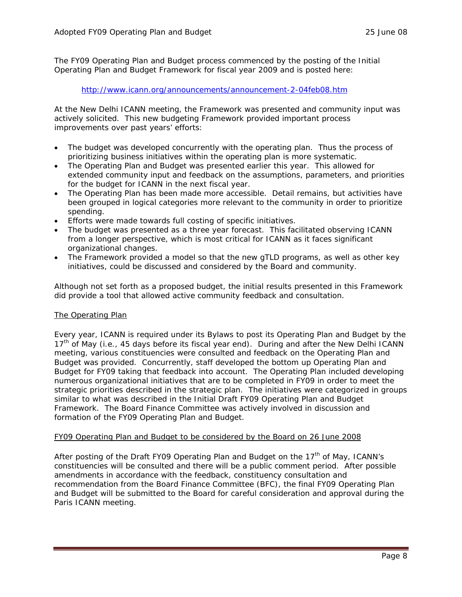The FY09 Operating Plan and Budget process commenced by the posting of the Initial Operating Plan and Budget Framework for fiscal year 2009 and is posted here:

#### <http://www.icann.org/announcements/announcement-2-04feb08.htm>

At the New Delhi ICANN meeting, the Framework was presented and community input was actively solicited. This new budgeting Framework provided important process improvements over past years' efforts:

- The budget was developed concurrently with the operating plan. Thus the process of prioritizing business initiatives within the operating plan is more systematic.
- The Operating Plan and Budget was presented earlier this year. This allowed for extended community input and feedback on the assumptions, parameters, and priorities for the budget for ICANN in the next fiscal year.
- The Operating Plan has been made more accessible. Detail remains, but activities have been grouped in logical categories more relevant to the community in order to prioritize spending.
- Efforts were made towards full costing of specific initiatives.
- The budget was presented as a three year forecast. This facilitated observing ICANN from a longer perspective, which is most critical for ICANN as it faces significant organizational changes.
- The Framework provided a model so that the new gTLD programs, as well as other key initiatives, could be discussed and considered by the Board and community.

Although not set forth as a proposed budget, the initial results presented in this Framework did provide a tool that allowed active community feedback and consultation.

### The Operating Plan

Every year, ICANN is required under its Bylaws to post its Operating Plan and Budget by the 17<sup>th</sup> of May (i.e., 45 days before its fiscal year end). During and after the New Delhi ICANN meeting, various constituencies were consulted and feedback on the Operating Plan and Budget was provided. Concurrently, staff developed the bottom up Operating Plan and Budget for FY09 taking that feedback into account. The Operating Plan included developing numerous organizational initiatives that are to be completed in FY09 in order to meet the strategic priorities described in the strategic plan. The initiatives were categorized in groups similar to what was described in the Initial Draft FY09 Operating Plan and Budget Framework. The Board Finance Committee was actively involved in discussion and formation of the FY09 Operating Plan and Budget.

### FY09 Operating Plan and Budget to be considered by the Board on 26 June 2008

After posting of the Draft FY09 Operating Plan and Budget on the 17<sup>th</sup> of May, ICANN's constituencies will be consulted and there will be a public comment period. After possible amendments in accordance with the feedback, constituency consultation and recommendation from the Board Finance Committee (BFC), the final FY09 Operating Plan and Budget will be submitted to the Board for careful consideration and approval during the Paris ICANN meeting.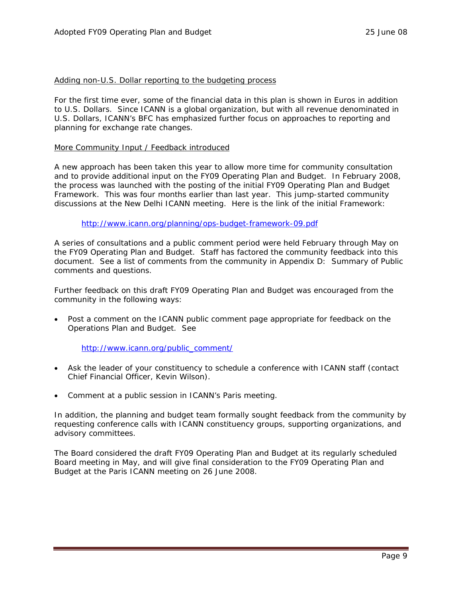#### Adding non-U.S. Dollar reporting to the budgeting process

For the first time ever, some of the financial data in this plan is shown in Euros in addition to U.S. Dollars. Since ICANN is a global organization, but with all revenue denominated in U.S. Dollars, ICANN's BFC has emphasized further focus on approaches to reporting and planning for exchange rate changes.

#### More Community Input / Feedback introduced

A new approach has been taken this year to allow more time for community consultation and to provide additional input on the FY09 Operating Plan and Budget. In February 2008, the process was launched with the posting of the initial FY09 Operating Plan and Budget Framework. This was four months earlier than last year. This jump-started community discussions at the New Delhi ICANN meeting. Here is the link of the initial Framework:

#### <http://www.icann.org/planning/ops-budget-framework-09.pdf>

A series of consultations and a public comment period were held February through May on the FY09 Operating Plan and Budget. Staff has factored the community feedback into this document. See a list of comments from the community in Appendix D: Summary of Public comments and questions.

Further feedback on this draft FY09 Operating Plan and Budget was encouraged from the community in the following ways:

• Post a comment on the ICANN public comment page appropriate for feedback on the Operations Plan and Budget. *See* 

### [http://www.icann.org/public\\_comment/](http://www.icann.org/public_comment/)

- Ask the leader of your constituency to schedule a conference with ICANN staff (contact Chief Financial Officer, Kevin Wilson).
- Comment at a public session in ICANN's Paris meeting.

In addition, the planning and budget team formally sought feedback from the community by requesting conference calls with ICANN constituency groups, supporting organizations, and advisory committees.

The Board considered the draft FY09 Operating Plan and Budget at its regularly scheduled Board meeting in May, and will give final consideration to the FY09 Operating Plan and Budget at the Paris ICANN meeting on 26 June 2008.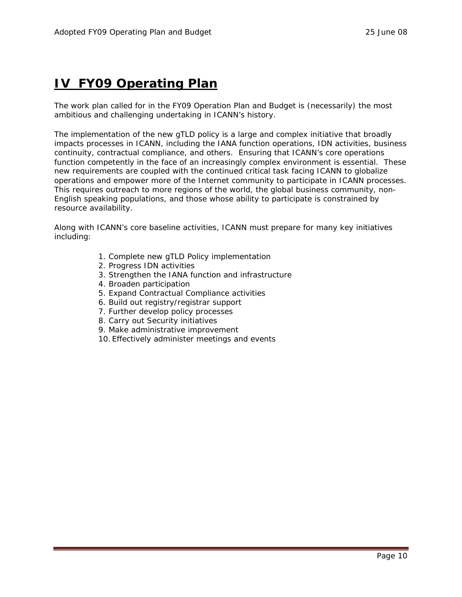## <span id="page-9-0"></span>**[IV FY09 Operating Plan](#page-38-0)**

The work plan called for in the FY09 Operation Plan and Budget is (necessarily) the most ambitious and challenging undertaking in ICANN's history.

The implementation of the new gTLD policy is a large and complex initiative that broadly impacts processes in ICANN, including the IANA function operations, IDN activities, business continuity, contractual compliance, and others. Ensuring that ICANN's core operations function competently in the face of an increasingly complex environment is essential. These new requirements are coupled with the continued critical task facing ICANN to globalize operations and empower more of the Internet community to participate in ICANN processes. This requires outreach to more regions of the world, the global business community, non-English speaking populations, and those whose ability to participate is constrained by resource availability.

Along with ICANN's core baseline activities, ICANN must prepare for many key initiatives including:

- 1. Complete new gTLD Policy implementation
- 2. Progress IDN activities
- 3. Strengthen the IANA function and infrastructure
- 4. Broaden participation
- 5. Expand Contractual Compliance activities
- 6. Build out registry/registrar support
- 7. Further develop policy processes
- 8. Carry out Security initiatives
- 9. Make administrative improvement
- 10. Effectively administer meetings and events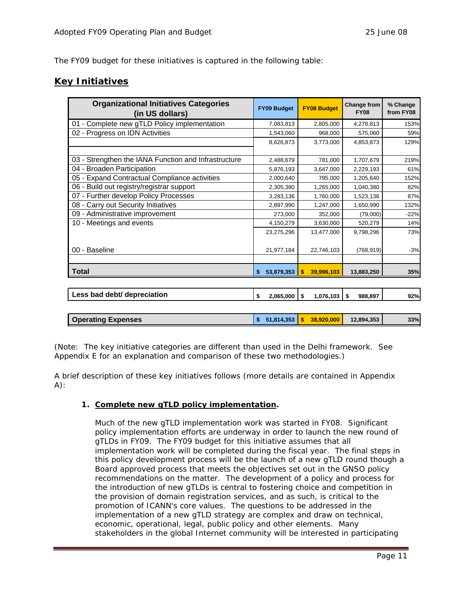The FY09 budget for these initiatives is captured in the following table:

### **Key Initiatives**

| <b>Organizational Initiatives Categories</b><br>(in US dollars) | <b>FY09 Budget</b>   | <b>FY08 Budget</b>         | Change from<br><b>FY08</b> | % Change<br>from FY08 |
|-----------------------------------------------------------------|----------------------|----------------------------|----------------------------|-----------------------|
| 01 - Complete new gTLD Policy implementation                    | 7,083,813            | 2,805,000                  | 4,278,813                  | 153%                  |
| 02 - Progress on IDN Activities                                 | 1,543,060            | 968,000                    | 575,060                    | 59%                   |
|                                                                 | 8,626,873            | 3,773,000                  | 4,853,873                  | 129%                  |
|                                                                 |                      |                            |                            |                       |
| 03 - Strengthen the IANA Function and Infrastructure            | 2,488,679            | 781,000                    | 1,707,679                  | 219%                  |
| 04 - Broaden Participation                                      | 5,876,193            | 3,647,000                  | 2,229,193                  | 61%                   |
| 05 - Expand Contractual Compliance activities                   | 2,000,640            | 795,000                    | 1,205,640                  | 152%                  |
| 06 - Build out registry/registrar support                       | 2,305,380            | 1,265,000                  | 1,040,380                  | 82%                   |
| 07 - Further develop Policy Processes                           | 3,283,136            | 1,760,000                  | 1,523,136                  | 87%                   |
| 08 - Carry out Security Initiatives                             | 2,897,990            | 1,247,000                  | 1,650,990                  | 132%                  |
| 09 - Administrative improvement                                 | 273,000              | 352,000                    | (79,000)                   | $-22%$                |
| 10 - Meetings and events                                        | 4,150,279            | 3,630,000                  | 520,279                    | 14%                   |
|                                                                 | 23,275,296           | 13,477,000                 | 9,798,296                  | 73%                   |
| 00 - Baseline                                                   | 21,977,184           | 22,746,103                 | (768, 919)                 | $-3%$                 |
| <b>Total</b>                                                    | 53,879,353<br>\$     | $\mathbf{s}$<br>39,996,103 | 13,883,250                 | 35%                   |
|                                                                 |                      |                            |                            |                       |
| Less bad debt/ depreciation                                     | \$<br>$2,065,000$ \$ | 1,076,103                  | \$<br>988,897              | 92%                   |
|                                                                 |                      |                            |                            |                       |
| <b>Operating Expenses</b>                                       | 51,814,353<br>\$     | 38,920,000<br>\$           | 12,894,353                 | 33%                   |

(Note: The key initiative categories are different than used in the Delhi framework. See Appendix E for an explanation and comparison of these two methodologies.)

A brief description of these key initiatives follows (more details are contained in Appendix  $A)$ :

### **1. Complete new gTLD policy implementation.**

Much of the new gTLD implementation work was started in FY08. Significant policy implementation efforts are underway in order to launch the new round of gTLDs in FY09. The FY09 budget for this initiative assumes that all implementation work will be completed during the fiscal year. The final steps in this policy development process will be the launch of a new gTLD round though a Board approved process that meets the objectives set out in the GNSO policy recommendations on the matter. The development of a policy and process for the introduction of new gTLDs is central to fostering choice and competition in the provision of domain registration services, and as such, is critical to the promotion of ICANN's core values. The questions to be addressed in the implementation of a new gTLD strategy are complex and draw on technical, economic, operational, legal, public policy and other elements. Many stakeholders in the global Internet community will be interested in participating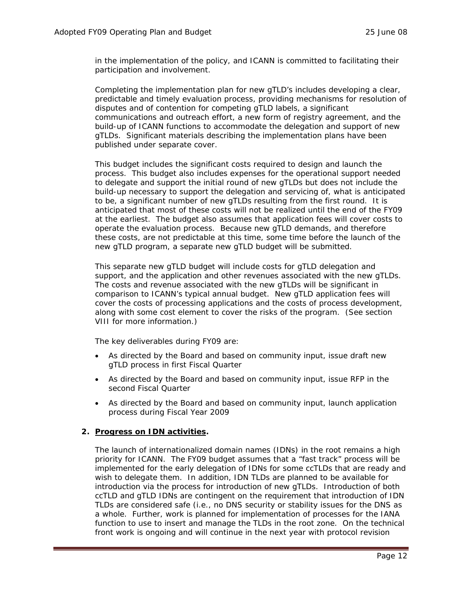in the implementation of the policy, and ICANN is committed to facilitating their participation and involvement.

Completing the implementation plan for new gTLD's includes developing a clear, predictable and timely evaluation process, providing mechanisms for resolution of disputes and of contention for competing gTLD labels, a significant communications and outreach effort, a new form of registry agreement, and the build-up of ICANN functions to accommodate the delegation and support of new gTLDs. Significant materials describing the implementation plans have been published under separate cover.

This budget includes the significant costs required to design and launch the process. This budget also includes expenses for the operational support needed to delegate and support the initial round of new gTLDs but does not include the build-up necessary to support the delegation and servicing of, what is anticipated to be, a significant number of new gTLDs resulting from the first round. It is anticipated that most of these costs will not be realized until the end of the FY09 at the earliest. The budget also assumes that application fees will cover costs to operate the evaluation process. Because new gTLD demands, and therefore these costs, are not predictable at this time, some time before the launch of the new gTLD program, a separate new gTLD budget will be submitted.

This separate new gTLD budget will include costs for gTLD delegation and support, and the application and other revenues associated with the new gTLDs. The costs and revenue associated with the new gTLDs will be significant in comparison to ICANN's typical annual budget. New gTLD application fees will cover the costs of processing applications and the costs of process development, along with some cost element to cover the risks of the program. (See section VIII for more information.)

The key deliverables during FY09 are:

- As directed by the Board and based on community input, issue draft new gTLD process in first Fiscal Quarter
- As directed by the Board and based on community input, issue RFP in the second Fiscal Quarter
- As directed by the Board and based on community input, launch application process during Fiscal Year 2009

### **2. Progress on IDN activities.**

The launch of internationalized domain names (IDNs) in the root remains a high priority for ICANN. The FY09 budget assumes that a "fast track" process will be implemented for the early delegation of IDNs for some ccTLDs that are ready and wish to delegate them. In addition, IDN TLDs are planned to be available for introduction via the process for introduction of new gTLDs. Introduction of both ccTLD and gTLD IDNs are contingent on the requirement that introduction of IDN TLDs are considered safe (i.e., no DNS security or stability issues for the DNS as a whole. Further, work is planned for implementation of processes for the IANA function to use to insert and manage the TLDs in the root zone. On the technical front work is ongoing and will continue in the next year with protocol revision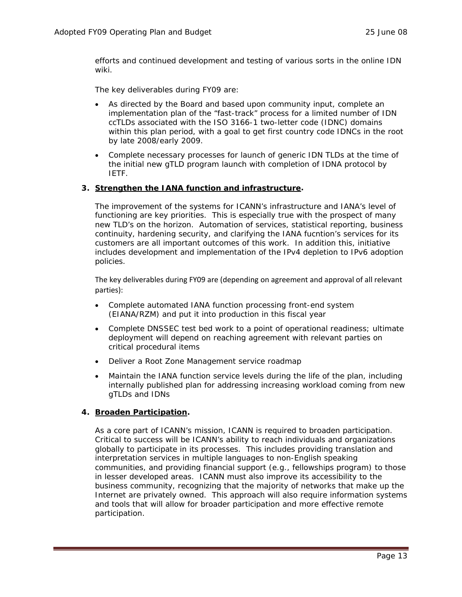efforts and continued development and testing of various sorts in the online IDN wiki.

The key deliverables during FY09 are:

- As directed by the Board and based upon community input, complete an implementation plan of the "fast-track" process for a limited number of IDN ccTLDs associated with the ISO 3166-1 two-letter code (IDNC) domains within this plan period, with a goal to get first country code IDNCs in the root by late 2008/early 2009.
- Complete necessary processes for launch of generic IDN TLDs at the time of the initial new gTLD program launch with completion of IDNA protocol by IETF.

### **3. Strengthen the IANA function and infrastructure.**

The improvement of the systems for ICANN's infrastructure and IANA's level of functioning are key priorities. This is especially true with the prospect of many new TLD's on the horizon. Automation of services, statistical reporting, business continuity, hardening security, and clarifying the IANA fucntion's services for its customers are all important outcomes of this work. In addition this, initiative includes development and implementation of the IPv4 depletion to IPv6 adoption policies.

The key deliverables during FY09 are (depending on agreement and approval of all relevant parties):

- Complete automated IANA function processing front-end system (EIANA/RZM) and put it into production in this fiscal year
- Complete DNSSEC test bed work to a point of operational readiness; ultimate deployment will depend on reaching agreement with relevant parties on critical procedural items
- Deliver a Root Zone Management service roadmap
- Maintain the IANA function service levels during the life of the plan, including internally published plan for addressing increasing workload coming from new gTLDs and IDNs

### **4. Broaden Participation.**

As a core part of ICANN's mission, ICANN is required to broaden participation. Critical to success will be ICANN's ability to reach individuals and organizations globally to participate in its processes. This includes providing translation and interpretation services in multiple languages to non-English speaking communities, and providing financial support (e.g., fellowships program) to those in lesser developed areas. ICANN must also improve its accessibility to the business community, recognizing that the majority of networks that make up the Internet are privately owned. This approach will also require information systems and tools that will allow for broader participation and more effective remote participation.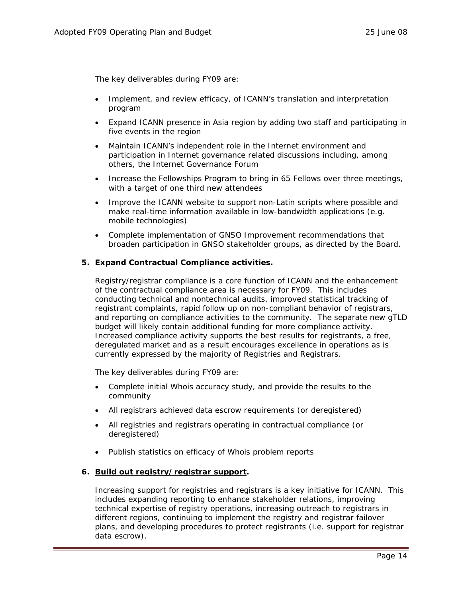The key deliverables during FY09 are:

- Implement, and review efficacy, of ICANN's translation and interpretation program
- Expand ICANN presence in Asia region by adding two staff and participating in five events in the region
- Maintain ICANN's independent role in the Internet environment and participation in Internet governance related discussions including, among others, the Internet Governance Forum
- Increase the Fellowships Program to bring in 65 Fellows over three meetings, with a target of one third new attendees
- Improve the ICANN website to support non-Latin scripts where possible and make real-time information available in low-bandwidth applications (e.g. mobile technologies)
- Complete implementation of GNSO Improvement recommendations that broaden participation in GNSO stakeholder groups, as directed by the Board.

#### **5. Expand Contractual Compliance activities.**

Registry/registrar compliance is a core function of ICANN and the enhancement of the contractual compliance area is necessary for FY09. This includes conducting technical and nontechnical audits, improved statistical tracking of registrant complaints, rapid follow up on non-compliant behavior of registrars, and reporting on compliance activities to the community. The separate new gTLD budget will likely contain additional funding for more compliance activity. Increased compliance activity supports the best results for registrants, a free, deregulated market and as a result encourages excellence in operations as is currently expressed by the majority of Registries and Registrars.

The key deliverables during FY09 are:

- Complete initial Whois accuracy study, and provide the results to the community
- All registrars achieved data escrow requirements (or deregistered)
- All registries and registrars operating in contractual compliance (or deregistered)
- Publish statistics on efficacy of Whois problem reports

#### **6. Build out registry/registrar support.**

Increasing support for registries and registrars is a key initiative for ICANN. This includes expanding reporting to enhance stakeholder relations, improving technical expertise of registry operations, increasing outreach to registrars in different regions, continuing to implement the registry and registrar failover plans, and developing procedures to protect registrants (i.e. support for registrar data escrow).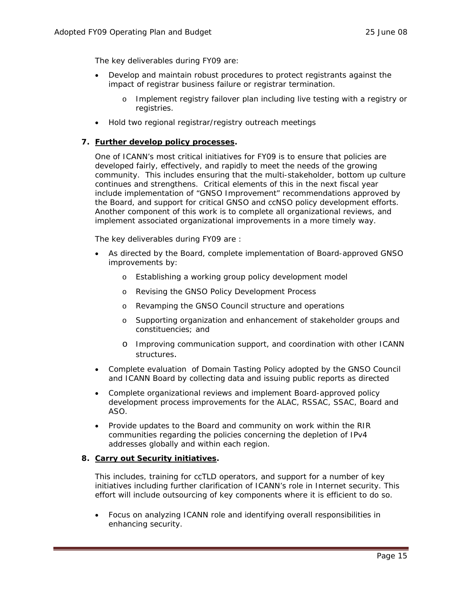The key deliverables during FY09 are:

- Develop and maintain robust procedures to protect registrants against the impact of registrar business failure or registrar termination.
	- o Implement registry failover plan including live testing with a registry or registries.
- Hold two regional registrar/registry outreach meetings

### **7. Further develop policy processes.**

One of ICANN's most critical initiatives for FY09 is to ensure that policies are developed fairly, effectively, and rapidly to meet the needs of the growing community. This includes ensuring that the multi-stakeholder, bottom up culture continues and strengthens. Critical elements of this in the next fiscal year include implementation of "GNSO Improvement" recommendations approved by the Board, and support for critical GNSO and ccNSO policy development efforts. Another component of this work is to complete all organizational reviews, and implement associated organizational improvements in a more timely way.

The key deliverables during FY09 are :

- As directed by the Board, complete implementation of Board-approved GNSO improvements by:
	- o Establishing a working group policy development model
	- o Revising the GNSO Policy Development Process
	- o Revamping the GNSO Council structure and operations
	- o Supporting organization and enhancement of stakeholder groups and constituencies; and
	- o Improving communication support, and coordination with other ICANN structures.
- Complete evaluation of Domain Tasting Policy adopted by the GNSO Council and ICANN Board by collecting data and issuing public reports as directed
- Complete organizational reviews and implement Board-approved policy development process improvements for the ALAC, RSSAC, SSAC, Board and ASO.
- Provide updates to the Board and community on work within the RIR communities regarding the policies concerning the depletion of IPv4 addresses globally and within each region.

### **8. Carry out Security initiatives.**

This includes, training for ccTLD operators, and support for a number of key initiatives including further clarification of ICANN's role in Internet security. This effort will include outsourcing of key components where it is efficient to do so.

• Focus on analyzing ICANN role and identifying overall responsibilities in enhancing security.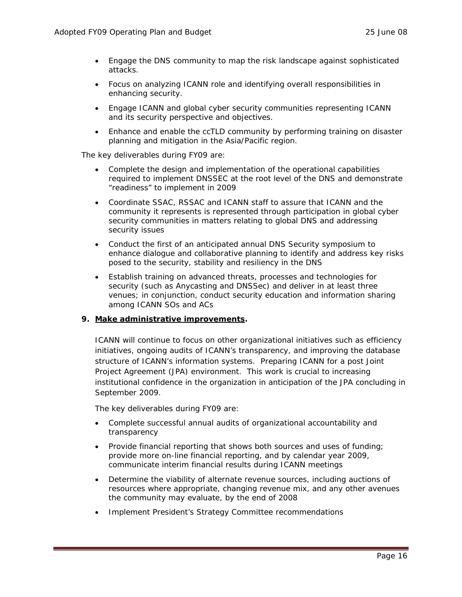- Engage the DNS community to map the risk landscape against sophisticated attacks.
- Focus on analyzing ICANN role and identifying overall responsibilities in enhancing security.
- Engage ICANN and global cyber security communities representing ICANN and its security perspective and objectives.
- Enhance and enable the ccTLD community by performing training on disaster planning and mitigation in the Asia/Pacific region.

The key deliverables during FY09 are:

- Complete the design and implementation of the operational capabilities required to implement DNSSEC at the root level of the DNS and demonstrate "readiness" to implement in 2009
- Coordinate SSAC, RSSAC and ICANN staff to assure that ICANN and the community it represents is represented through participation in global cyber security communities in matters relating to global DNS and addressing security issues
- Conduct the first of an anticipated annual DNS Security symposium to enhance dialogue and collaborative planning to identify and address key risks posed to the security, stability and resiliency in the DNS
- Establish training on advanced threats, processes and technologies for security (such as Anycasting and DNSSec) and deliver in at least three venues; in conjunction, conduct security education and information sharing among ICANN SOs and ACs

### **9. Make administrative improvements.**

ICANN will continue to focus on other organizational initiatives such as efficiency initiatives, ongoing audits of ICANN's transparency, and improving the database structure of ICANN's information systems. Preparing ICANN for a post Joint Project Agreement (JPA) environment. This work is crucial to increasing institutional confidence in the organization in anticipation of the JPA concluding in September 2009.

The key deliverables during FY09 are:

- Complete successful annual audits of organizational accountability and transparency
- Provide financial reporting that shows both sources and uses of funding; provide more on-line financial reporting, and by calendar year 2009, communicate interim financial results during ICANN meetings
- Determine the viability of alternate revenue sources, including auctions of resources where appropriate, changing revenue mix, and any other avenues the community may evaluate, by the end of 2008
- Implement President's Strategy Committee recommendations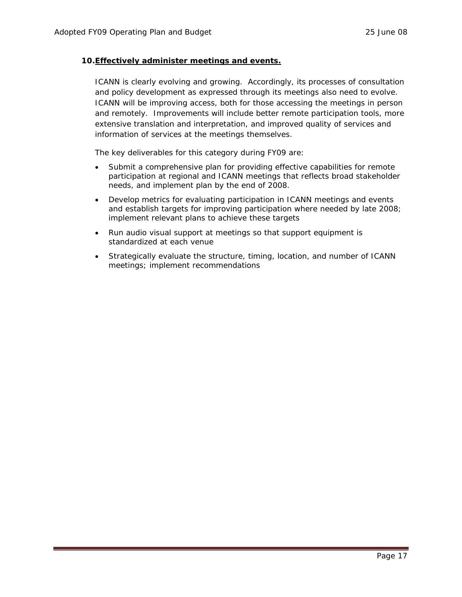### **10.Effectively administer meetings and events.**

ICANN is clearly evolving and growing. Accordingly, its processes of consultation and policy development as expressed through its meetings also need to evolve. ICANN will be improving access, both for those accessing the meetings in person and remotely. Improvements will include better remote participation tools, more extensive translation and interpretation, and improved quality of services and information of services at the meetings themselves.

The key deliverables for this category during FY09 are:

- Submit a comprehensive plan for providing effective capabilities for remote participation at regional and ICANN meetings that reflects broad stakeholder needs, and implement plan by the end of 2008.
- Develop metrics for evaluating participation in ICANN meetings and events and establish targets for improving participation where needed by late 2008; implement relevant plans to achieve these targets
- Run audio visual support at meetings so that support equipment is standardized at each venue
- Strategically evaluate the structure, timing, location, and number of ICANN meetings; implement recommendations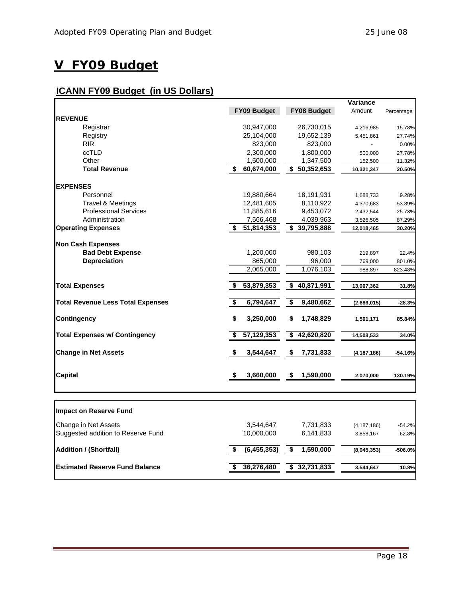## <span id="page-17-0"></span>**V FY09 Budget**

### **ICANN FY09 Budget (in US Dollars)**

|                                          |                  |                            | Variance      |            |
|------------------------------------------|------------------|----------------------------|---------------|------------|
|                                          | FY09 Budget      | <b>FY08 Budget</b>         | Amount        | Percentage |
| <b>REVENUE</b>                           |                  |                            |               |            |
| Registrar                                | 30,947,000       | 26,730,015                 | 4,216,985     | 15.78%     |
| Registry                                 | 25,104,000       | 19,652,139                 | 5,451,861     | 27.74%     |
| <b>RIR</b>                               | 823,000          | 823,000                    |               | 0.00%      |
| ccTLD                                    | 2,300,000        | 1,800,000                  | 500,000       | 27.78%     |
| Other                                    | 1,500,000        | 1,347,500                  | 152,500       | 11.32%     |
| <b>Total Revenue</b>                     | 60,674,000<br>\$ | $\overline{\$}$ 50,352,653 | 10,321,347    | 20.50%     |
| <b>EXPENSES</b>                          |                  |                            |               |            |
| Personnel                                | 19,880,664       | 18,191,931                 | 1,688,733     | 9.28%      |
| <b>Travel &amp; Meetings</b>             | 12,481,605       | 8,110,922                  | 4,370,683     | 53.89%     |
| <b>Professional Services</b>             | 11,885,616       | 9,453,072                  | 2,432,544     | 25.73%     |
| Administration                           | 7,566,468        | 4,039,963                  | 3,526,505     | 87.29%     |
| <b>Operating Expenses</b>                | \$51,814,353     | \$39,795,888               | 12,018,465    | 30.20%     |
| <b>Non Cash Expenses</b>                 |                  |                            |               |            |
| <b>Bad Debt Expense</b>                  | 1,200,000        | 980,103                    | 219,897       | 22.4%      |
| <b>Depreciation</b>                      | 865,000          | 96,000                     | 769,000       | 801.0%     |
|                                          | 2,065,000        | 1,076,103                  | 988,897       | 823.48%    |
| <b>Total Expenses</b>                    | 53,879,353<br>\$ | \$40,871,991               | 13,007,362    | 31.8%      |
| <b>Total Revenue Less Total Expenses</b> | \$<br>6,794,647  | \$<br>9,480,662            | (2,686,015)   | $-28.3%$   |
|                                          |                  |                            |               |            |
| <b>Contingency</b>                       | \$<br>3,250,000  | \$<br>1,748,829            | 1,501,171     | 85.84%     |
| <b>Total Expenses w/ Contingency</b>     | 57,129,353<br>\$ | \$42,620,820               | 14,508,533    | 34.0%      |
| <b>Change in Net Assets</b>              | \$<br>3,544,647  | \$<br>7,731,833            | (4, 187, 186) | -54.16%    |
| <b>Capital</b>                           | 3,660,000<br>\$  | \$<br>1,590,000            | 2,070,000     | 130.19%    |
| Impact on Reserve Fund                   |                  |                            |               |            |
| Change in Net Assets                     | 3,544,647        | 7,731,833                  | (4, 187, 186) | $-54.2%$   |
| Suggested addition to Reserve Fund       | 10,000,000       | 6,141,833                  | 3,858,167     | 62.8%      |

| .                              |               |              |             |              |
|--------------------------------|---------------|--------------|-------------|--------------|
| <b>Addition / (Shortfall)</b>  | (6, 455, 353) | 1,590,000    | (8,045,353) | $-506.0%$    |
| Estimated Reserve Fund Balance | 36,276,480    | \$32,731,833 | 3.544.647   | <b>10.8%</b> |
|                                |               |              |             |              |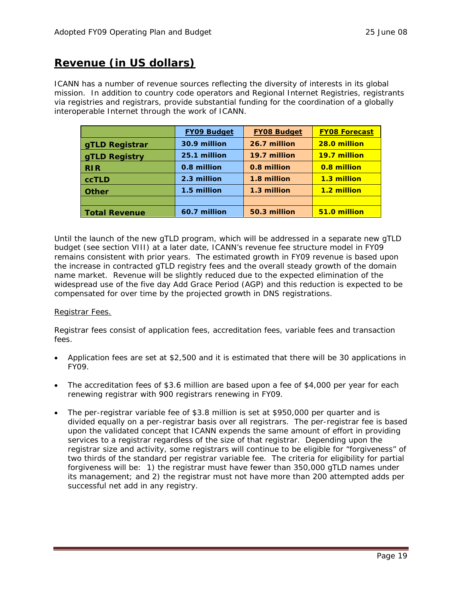### **Revenue (in US dollars)**

ICANN has a number of revenue sources reflecting the diversity of interests in its global mission. In addition to country code operators and Regional Internet Registries, registrants via registries and registrars, provide substantial funding for the coordination of a globally interoperable Internet through the work of ICANN.

|                      | <b>FY09 Budget</b> | <b>FY08 Budget</b> | <b>FY08 Forecast</b> |
|----------------------|--------------------|--------------------|----------------------|
| gTLD Registrar       | 30.9 million       | 26.7 million       | 28.0 million         |
| <b>gTLD Registry</b> | 25.1 million       | 19.7 million       | 19.7 million         |
| <b>RIR</b>           | 0.8 million        | 0.8 million        | 0.8 million          |
| <b>ccTLD</b>         | 2.3 million        | 1.8 million        | 1.3 million          |
| <b>Other</b>         | 1.5 million        | 1.3 million        | 1.2 million          |
|                      |                    |                    |                      |
| <b>Total Revenue</b> | 60.7 million       | 50.3 million       | 51.0 million         |

Until the launch of the new gTLD program, which will be addressed in a separate new gTLD budget (see section VIII) at a later date, ICANN's revenue fee structure model in FY09 remains consistent with prior years. The estimated growth in FY09 revenue is based upon the increase in contracted gTLD registry fees and the overall steady growth of the domain name market. Revenue will be slightly reduced due to the expected elimination of the widespread use of the five day Add Grace Period (AGP) and this reduction is expected to be compensated for over time by the projected growth in DNS registrations.

### Registrar Fees.

Registrar fees consist of application fees, accreditation fees, variable fees and transaction fees.

- Application fees are set at \$2,500 and it is estimated that there will be 30 applications in FY09.
- The accreditation fees of \$3.6 million are based upon a fee of \$4,000 per year for each renewing registrar with 900 registrars renewing in FY09.
- The per-registrar variable fee of \$3.8 million is set at \$950,000 per quarter and is divided equally on a per-registrar basis over all registrars. The per-registrar fee is based upon the validated concept that ICANN expends the same amount of effort in providing services to a registrar regardless of the size of that registrar. Depending upon the registrar size and activity, some registrars will continue to be eligible for "forgiveness" of two thirds of the standard per registrar variable fee. The criteria for eligibility for partial forgiveness will be: 1) the registrar must have fewer than 350,000 gTLD names under its management; and 2) the registrar must not have more than 200 attempted adds per successful net add in any registry.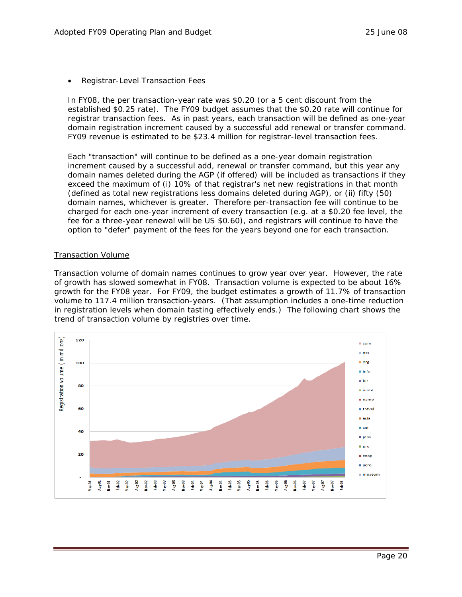• Registrar-Level Transaction Fees

In FY08, the per transaction-year rate was \$0.20 (or a 5 cent discount from the established \$0.25 rate). The FY09 budget assumes that the \$0.20 rate will continue for registrar transaction fees. As in past years, each transaction will be defined as one-year domain registration increment caused by a successful add renewal or transfer command. FY09 revenue is estimated to be \$23.4 million for registrar-level transaction fees.

Each "transaction" will continue to be defined as a one-year domain registration increment caused by a successful add, renewal or transfer command, but this year any domain names deleted during the AGP (if offered) will be included as transactions if they exceed the maximum of (i) 10% of that registrar's net new registrations in that month (defined as total new registrations less domains deleted during AGP), or (ii) fifty (50) domain names, whichever is greater. Therefore per-transaction fee will continue to be charged for each one-year increment of every transaction (e.g. at a \$0.20 fee level, the fee for a three-year renewal will be US \$0.60), and registrars will continue to have the option to "defer" payment of the fees for the years beyond one for each transaction.

### Transaction Volume

Transaction volume of domain names continues to grow year over year. However, the rate of growth has slowed somewhat in FY08. Transaction volume is expected to be about 16% growth for the FY08 year. For FY09, the budget estimates a growth of 11.7% of transaction volume to 117.4 million transaction-years. (That assumption includes a one-time reduction in registration levels when domain tasting effectively ends.) The following chart shows the trend of transaction volume by registries over time.

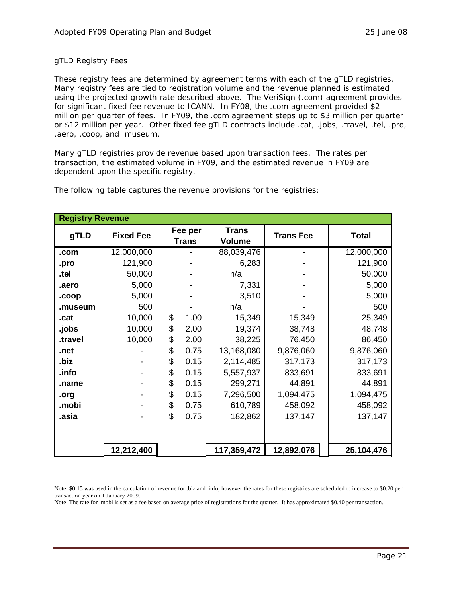### gTLD Registry Fees

These registry fees are determined by agreement terms with each of the gTLD registries. Many registry fees are tied to registration volume and the revenue planned is estimated using the projected growth rate described above. The VeriSign (.com) agreement provides for significant fixed fee revenue to ICANN. In FY08, the .com agreement provided \$2 million per quarter of fees. In FY09, the .com agreement steps up to \$3 million per quarter or \$12 million per year. Other fixed fee gTLD contracts include .cat, .jobs, .travel, .tel, .pro, .aero, .coop, and .museum.

Many gTLD registries provide revenue based upon transaction fees. The rates per transaction, the estimated volume in FY09, and the estimated revenue in FY09 are dependent upon the specific registry.

| <b>Registry Revenue</b> |                  |    |                         |                               |                  |  |              |
|-------------------------|------------------|----|-------------------------|-------------------------------|------------------|--|--------------|
| gTLD                    | <b>Fixed Fee</b> |    | Fee per<br><b>Trans</b> | <b>Trans</b><br><b>Volume</b> | <b>Trans Fee</b> |  | <b>Total</b> |
| .com                    | 12,000,000       |    |                         | 88,039,476                    |                  |  | 12,000,000   |
| .pro                    | 121,900          |    |                         | 6,283                         |                  |  | 121,900      |
| .tel                    | 50,000           |    |                         | n/a                           |                  |  | 50,000       |
| .aero                   | 5,000            |    |                         | 7,331                         |                  |  | 5,000        |
| .coop                   | 5,000            |    |                         | 3,510                         |                  |  | 5,000        |
| .museum                 | 500              |    |                         | n/a                           |                  |  | 500          |
| .cat                    | 10,000           | \$ | 1.00                    | 15,349                        | 15,349           |  | 25,349       |
| .jobs                   | 10,000           | \$ | 2.00                    | 19,374                        | 38,748           |  | 48,748       |
| .travel                 | 10,000           | \$ | 2.00                    | 38,225                        | 76,450           |  | 86,450       |
| .net                    |                  | \$ | 0.75                    | 13,168,080                    | 9,876,060        |  | 9,876,060    |
| .biz                    |                  | \$ | 0.15                    | 2,114,485                     | 317,173          |  | 317,173      |
| .info                   |                  | \$ | 0.15                    | 5,557,937                     | 833,691          |  | 833,691      |
| .name                   |                  | \$ | 0.15                    | 299,271                       | 44,891           |  | 44,891       |
| .org                    |                  | \$ | 0.15                    | 7,296,500                     | 1,094,475        |  | 1,094,475    |
| .mobi                   |                  | \$ | 0.75                    | 610,789                       | 458,092          |  | 458,092      |
| .asia                   |                  | \$ | 0.75                    | 182,862                       | 137,147          |  | 137,147      |
|                         |                  |    |                         |                               |                  |  |              |
|                         | 12,212,400       |    |                         | 117,359,472                   | 12,892,076       |  | 25,104,476   |

The following table captures the revenue provisions for the registries:

Note: \$0.15 was used in the calculation of revenue for .biz and .info, however the rates for these registries are scheduled to increase to \$0.20 per transaction year on 1 January 2009.

Note: The rate for .mobi is set as a fee based on average price of registrations for the quarter. It has approximated \$0.40 per transaction.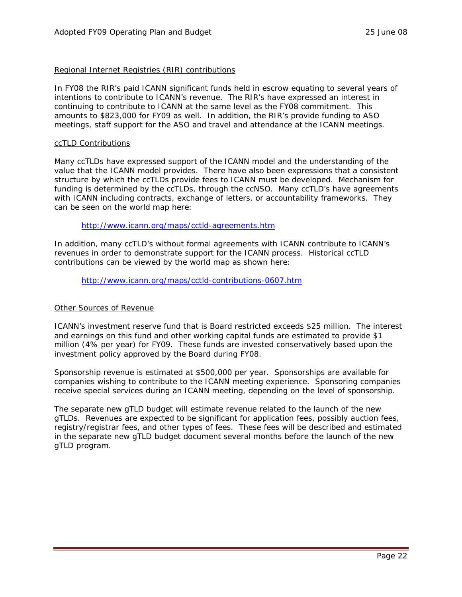#### Regional Internet Registries (RIR) contributions

In FY08 the RIR's paid ICANN significant funds held in escrow equating to several years of intentions to contribute to ICANN's revenue. The RIR's have expressed an interest in continuing to contribute to ICANN at the same level as the FY08 commitment. This amounts to \$823,000 for FY09 as well. In addition, the RIR's provide funding to ASO meetings, staff support for the ASO and travel and attendance at the ICANN meetings.

#### ccTLD Contributions

Many ccTLDs have expressed support of the ICANN model and the understanding of the value that the ICANN model provides. There have also been expressions that a consistent structure by which the ccTLDs provide fees to ICANN must be developed. Mechanism for funding is determined by the ccTLDs, through the ccNSO. Many ccTLD's have agreements with ICANN including contracts, exchange of letters, or accountability frameworks. They can be seen on the world map here:

#### <http://www.icann.org/maps/cctld-agreements.htm>

In addition, many ccTLD's without formal agreements with ICANN contribute to ICANN's revenues in order to demonstrate support for the ICANN process. Historical ccTLD contributions can be viewed by the world map as shown here:

<http://www.icann.org/maps/cctld-contributions-0607.htm>

### Other Sources of Revenue

ICANN's investment reserve fund that is Board restricted exceeds \$25 million. The interest and earnings on this fund and other working capital funds are estimated to provide \$1 million (4% per year) for FY09. These funds are invested conservatively based upon the investment policy approved by the Board during FY08.

Sponsorship revenue is estimated at \$500,000 per year. Sponsorships are available for companies wishing to contribute to the ICANN meeting experience. Sponsoring companies receive special services during an ICANN meeting, depending on the level of sponsorship.

The separate new gTLD budget will estimate revenue related to the launch of the new gTLDs. Revenues are expected to be significant for application fees, possibly auction fees, registry/registrar fees, and other types of fees. These fees will be described and estimated in the separate new gTLD budget document several months before the launch of the new gTLD program.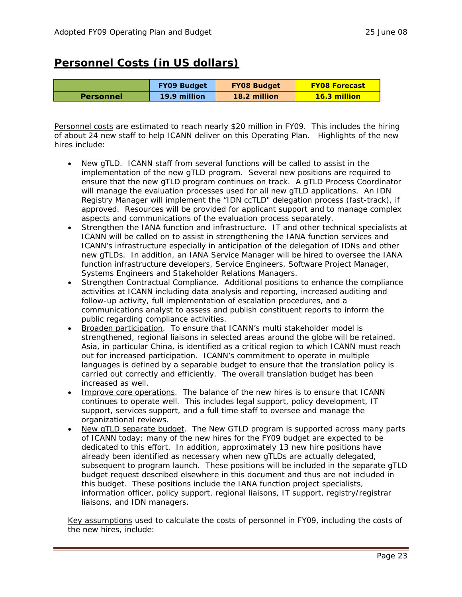### **Personnel Costs (in US dollars)**

|                  | <b>FY09 Budget</b> | <b>FY08 Budget</b> | <b>FY08 Forecast</b> |
|------------------|--------------------|--------------------|----------------------|
| <b>Personnel</b> | 19.9 million       | 18.2 million       | <b>16.3 million</b>  |

Personnel costs are estimated to reach nearly \$20 million in FY09. This includes the hiring of about 24 new staff to help ICANN deliver on this Operating Plan. Highlights of the new hires include:

- New gTLD. ICANN staff from several functions will be called to assist in the implementation of the new gTLD program. Several new positions are required to ensure that the new gTLD program continues on track. A gTLD Process Coordinator will manage the evaluation processes used for all new gTLD applications. An IDN Registry Manager will implement the "IDN ccTLD" delegation process (fast-track), if approved. Resources will be provided for applicant support and to manage complex aspects and communications of the evaluation process separately.
- Strengthen the IANA function and infrastructure. IT and other technical specialists at ICANN will be called on to assist in strengthening the IANA function services and ICANN's infrastructure especially in anticipation of the delegation of IDNs and other new gTLDs. In addition, an IANA Service Manager will be hired to oversee the IANA function infrastructure developers, Service Engineers, Software Project Manager, Systems Engineers and Stakeholder Relations Managers.
- Strengthen Contractual Compliance. Additional positions to enhance the compliance activities at ICANN including data analysis and reporting, increased auditing and follow-up activity, full implementation of escalation procedures, and a communications analyst to assess and publish constituent reports to inform the public regarding compliance activities.
- Broaden participation. To ensure that ICANN's multi stakeholder model is strengthened, regional liaisons in selected areas around the globe will be retained. Asia, in particular China, is identified as a critical region to which ICANN must reach out for increased participation. ICANN's commitment to operate in multiple languages is defined by a separable budget to ensure that the translation policy is carried out correctly and efficiently. The overall translation budget has been increased as well.
- Improve core operations. The balance of the new hires is to ensure that ICANN continues to operate well. This includes legal support, policy development, IT support, services support, and a full time staff to oversee and manage the organizational reviews.
- New gTLD separate budget. The New GTLD program is supported across many parts of ICANN today; many of the new hires for the FY09 budget are expected to be dedicated to this effort. In addition, approximately 13 new hire positions have already been identified as necessary when new gTLDs are actually delegated, subsequent to program launch. These positions will be included in the separate gTLD budget request described elsewhere in this document and thus are not included in this budget. These positions include the IANA function project specialists, information officer, policy support, regional liaisons, IT support, registry/registrar liaisons, and IDN managers.

Key assumptions used to calculate the costs of personnel in FY09, including the costs of the new hires, include: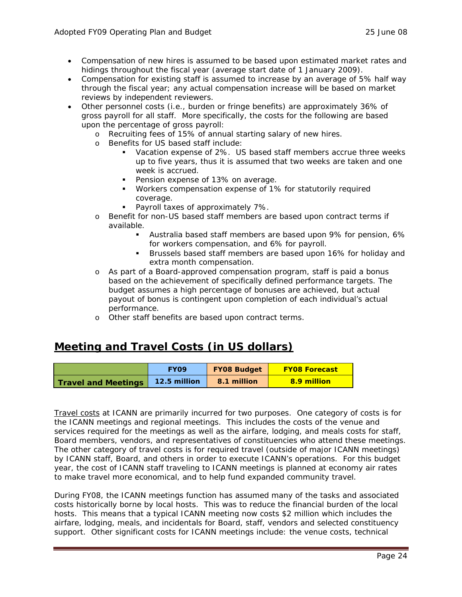- Compensation of new hires is assumed to be based upon estimated market rates and hidings throughout the fiscal year (average start date of 1 January 2009).
- Compensation for existing staff is assumed to increase by an average of 5% half way through the fiscal year; any actual compensation increase will be based on market reviews by independent reviewers.
- Other personnel costs (i.e., burden or fringe benefits) are approximately 36% of gross payroll for all staff. More specifically, the costs for the following are based upon the percentage of gross payroll:
	- o Recruiting fees of 15% of annual starting salary of new hires.
	- o Benefits for US based staff include:
		- Vacation expense of 2%. US based staff members accrue three weeks up to five years, thus it is assumed that two weeks are taken and one week is accrued.
		- **Pension expense of 13% on average.**
		- Workers compensation expense of 1% for statutorily required coverage.
		- **Payroll taxes of approximately 7%.**
	- o Benefit for non-US based staff members are based upon contract terms if available.
		- Australia based staff members are based upon 9% for pension, 6% for workers compensation, and 6% for payroll.
		- Brussels based staff members are based upon 16% for holiday and extra month compensation.
	- o As part of a Board-approved compensation program, staff is paid a bonus based on the achievement of specifically defined performance targets. The budget assumes a high percentage of bonuses are achieved, but actual payout of bonus is contingent upon completion of each individual's actual performance.
	- o Other staff benefits are based upon contract terms.

### **Meeting and Travel Costs (in US dollars)**

|                            | <b>FYO9</b>  | <b>FY08 Budget</b> | <b>FY08 Forecast</b> |
|----------------------------|--------------|--------------------|----------------------|
| <b>Travel and Meetings</b> | 12.5 million | 8.1 million        | 8.9 million          |

Travel costs at ICANN are primarily incurred for two purposes. One category of costs is for the ICANN meetings and regional meetings. This includes the costs of the venue and services required for the meetings as well as the airfare, lodging, and meals costs for staff, Board members, vendors, and representatives of constituencies who attend these meetings. The other category of travel costs is for required travel (outside of major ICANN meetings) by ICANN staff, Board, and others in order to execute ICANN's operations. For this budget year, the cost of ICANN staff traveling to ICANN meetings is planned at economy air rates to make travel more economical, and to help fund expanded community travel.

During FY08, the ICANN meetings function has assumed many of the tasks and associated costs historically borne by local hosts. This was to reduce the financial burden of the local hosts. This means that a typical ICANN meeting now costs \$2 million which includes the airfare, lodging, meals, and incidentals for Board, staff, vendors and selected constituency support. Other significant costs for ICANN meetings include: the venue costs, technical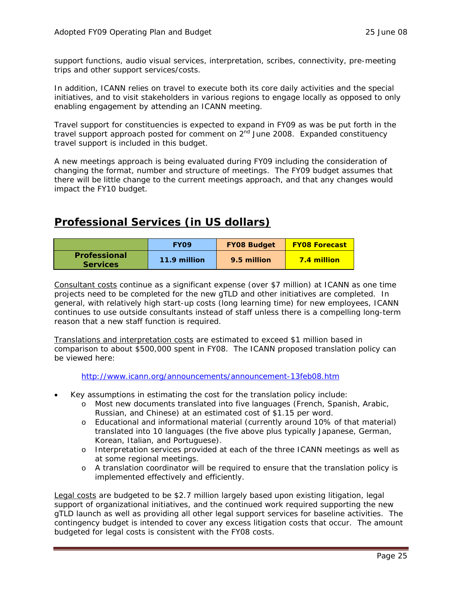support functions, audio visual services, interpretation, scribes, connectivity, pre-meeting trips and other support services/costs.

In addition, ICANN relies on travel to execute both its core daily activities and the special initiatives, and to visit stakeholders in various regions to engage locally as opposed to only enabling engagement by attending an ICANN meeting.

Travel support for constituencies is expected to expand in FY09 as was be put forth in the travel support approach posted for comment on  $2<sup>nd</sup>$  June 2008. Expanded constituency travel support is included in this budget.

A new meetings approach is being evaluated during FY09 including the consideration of changing the format, number and structure of meetings. The FY09 budget assumes that there will be little change to the current meetings approach, and that any changes would impact the FY10 budget.

### **Professional Services (in US dollars)**

|                                 | <b>FYO9</b>  | <b>FY08 Budget</b> | <b>FY08 Forecast</b> |
|---------------------------------|--------------|--------------------|----------------------|
| Professional<br><b>Services</b> | 11.9 million | 9.5 million        | <b>7.4 million</b>   |

Consultant costs continue as a significant expense (over \$7 million) at ICANN as one time projects need to be completed for the new gTLD and other initiatives are completed. In general, with relatively high start-up costs (long learning time) for new employees, ICANN continues to use outside consultants instead of staff unless there is a compelling long-term reason that a new staff function is required.

Translations and interpretation costs are estimated to exceed \$1 million based in comparison to about \$500,000 spent in FY08. The ICANN proposed translation policy can be viewed here:

<http://www.icann.org/announcements/announcement-13feb08.htm>

- Key assumptions in estimating the cost for the translation policy include:
	- o Most new documents translated into five languages (French, Spanish, Arabic, Russian, and Chinese) at an estimated cost of \$1.15 per word.
	- o Educational and informational material (currently around 10% of that material) translated into 10 languages (the five above plus typically Japanese, German, Korean, Italian, and Portuguese).
	- o Interpretation services provided at each of the three ICANN meetings as well as at some regional meetings.
	- o A translation coordinator will be required to ensure that the translation policy is implemented effectively and efficiently.

Legal costs are budgeted to be \$2.7 million largely based upon existing litigation, legal support of organizational initiatives, and the continued work required supporting the new gTLD launch as well as providing all other legal support services for baseline activities. The contingency budget is intended to cover any excess litigation costs that occur. The amount budgeted for legal costs is consistent with the FY08 costs.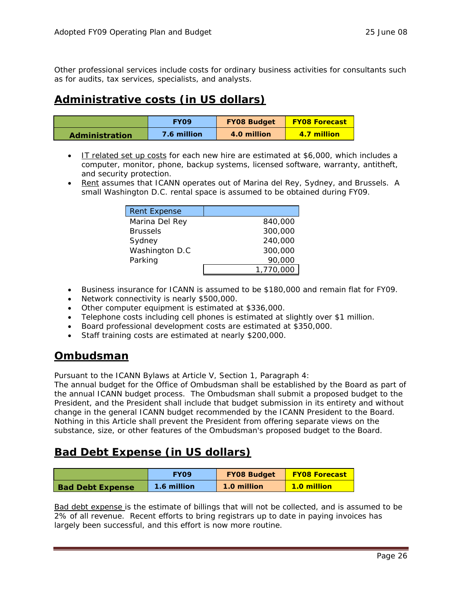Other professional services include costs for ordinary business activities for consultants such as for audits, tax services, specialists, and analysts.

### **Administrative costs (in US dollars)**

|                       | <b>FYO9</b> | <b>FY08 Budget</b> | <b>FY08 Forecast</b> |
|-----------------------|-------------|--------------------|----------------------|
| <b>Administration</b> | 7.6 million | 4.0 million        | 4.7 million          |

- IT related set up costs for each new hire are estimated at \$6,000, which includes a computer, monitor, phone, backup systems, licensed software, warranty, antitheft, and security protection.
- Rent assumes that ICANN operates out of Marina del Rey, Sydney, and Brussels. A small Washington D.C. rental space is assumed to be obtained during FY09.

| <b>Rent Expense</b> |           |
|---------------------|-----------|
| Marina Del Rey      | 840,000   |
| <b>Brussels</b>     | 300,000   |
| Sydney              | 240,000   |
| Washington D.C      | 300,000   |
| Parking             | 90,000    |
|                     | 1,770,000 |

- Business insurance for ICANN is assumed to be \$180,000 and remain flat for FY09.
- Network connectivity is nearly \$500,000.
- Other computer equipment is estimated at \$336,000.
- Telephone costs including cell phones is estimated at slightly over \$1 million.
- Board professional development costs are estimated at \$350,000.
- Staff training costs are estimated at nearly \$200,000.

### **Ombudsman**

Pursuant to the ICANN Bylaws at Article V, Section 1, Paragraph 4:

The annual budget for the Office of Ombudsman shall be established by the Board as part of the annual ICANN budget process. The Ombudsman shall submit a proposed budget to the President, and the President shall include that budget submission in its entirety and without change in the general ICANN budget recommended by the ICANN President to the Board. Nothing in this Article shall prevent the President from offering separate views on the substance, size, or other features of the Ombudsman's proposed budget to the Board.

### **Bad Debt Expense (in US dollars)**

|                         | <b>FYO9</b> | <b>FY08 Budget</b> | <b>FY08 Forecast</b> |
|-------------------------|-------------|--------------------|----------------------|
| <b>Bad Debt Expense</b> | 1.6 million | 1.0 million        | <b>1.0 million</b>   |

Bad debt expense is the estimate of billings that will not be collected, and is assumed to be 2% of all revenue. Recent efforts to bring registrars up to date in paying invoices has largely been successful, and this effort is now more routine.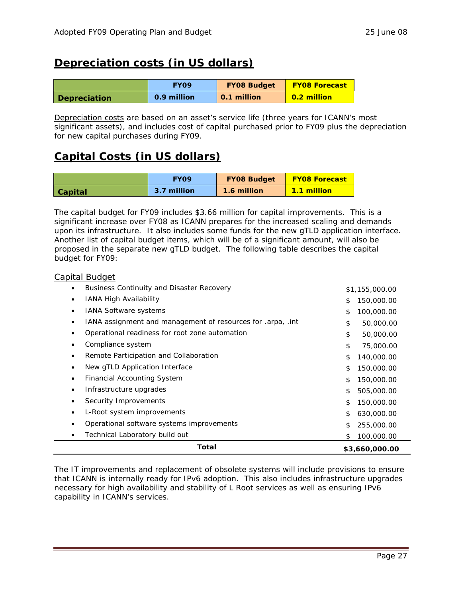### **Depreciation costs (in US dollars)**

|                     | <b>FYO9</b> | <b>FY08 Budget</b> | <b>FY08 Forecast</b> |  |
|---------------------|-------------|--------------------|----------------------|--|
| <b>Depreciation</b> | 0.9 million | 0.1 million        | 0.2 million          |  |

Depreciation costs are based on an asset's service life (three years for ICANN's most significant assets), and includes cost of capital purchased prior to FY09 plus the depreciation for new capital purchases during FY09.

### **Capital Costs (in US dollars)**

|                | <b>FYO9</b> | <b>FY08 Budget</b> | <b>FY08 Forecast</b> |
|----------------|-------------|--------------------|----------------------|
| <b>Capital</b> | 3.7 million | 1.6 million        | <b>1.1 million</b>   |

The capital budget for FY09 includes \$3.66 million for capital improvements. This is a significant increase over FY08 as ICANN prepares for the increased scaling and demands upon its infrastructure. It also includes some funds for the new gTLD application interface. Another list of capital budget items, which will be of a significant amount, will also be proposed in the separate new gTLD budget. The following table describes the capital budget for FY09:

### Capital Budget

| <b>Business Continuity and Disaster Recovery</b>            | \$1,155,000.00   |
|-------------------------------------------------------------|------------------|
| <b>IANA High Availability</b>                               | 150,000.00<br>\$ |
| <b>IANA Software systems</b>                                | \$<br>100,000.00 |
| IANA assignment and management of resources for .arpa, .int | \$<br>50,000.00  |
| Operational readiness for root zone automation              | \$<br>50,000.00  |
| Compliance system                                           | \$<br>75,000.00  |
| Remote Participation and Collaboration                      | \$<br>140,000.00 |
| New gTLD Application Interface                              | 150,000.00<br>\$ |
| <b>Financial Accounting System</b>                          | \$<br>150,000.00 |
| Infrastructure upgrades                                     | \$<br>505,000.00 |
| Security Improvements                                       | \$<br>150,000.00 |
| L-Root system improvements                                  | \$<br>630,000.00 |
| Operational software systems improvements                   | 255,000.00<br>\$ |
| Technical Laboratory build out                              | 100,000.00<br>\$ |
| Total                                                       | \$3,660,000.00   |

The IT improvements and replacement of obsolete systems will include provisions to ensure that ICANN is internally ready for IPv6 adoption. This also includes infrastructure upgrades necessary for high availability and stability of L Root services as well as ensuring IPv6 capability in ICANN's services.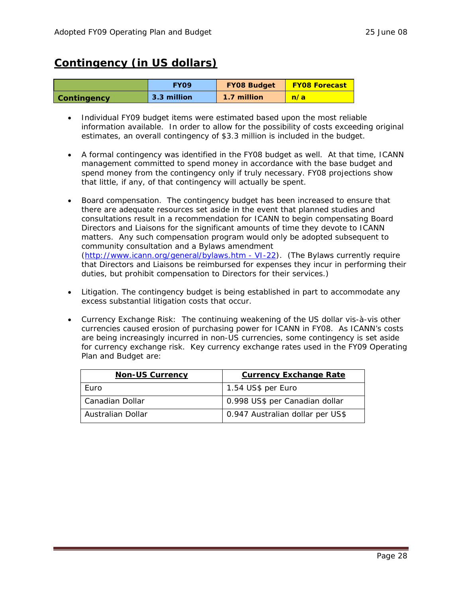### **Contingency (in US dollars)**

|                    | <b>FYO9</b> | <b>FY08 Budget</b> | <b>FY08 Forecast</b> |
|--------------------|-------------|--------------------|----------------------|
| <b>Contingency</b> | 3.3 million | 1.7 million        | n/a                  |

- Individual FY09 budget items were estimated based upon the most reliable information available. In order to allow for the possibility of costs exceeding original estimates, an overall contingency of \$3.3 million is included in the budget.
- A formal contingency was identified in the FY08 budget as well. At that time, ICANN management committed to spend money in accordance with the base budget and spend money from the contingency only if truly necessary. FY08 projections show that little, if any, of that contingency will actually be spent.
- Board compensation. The contingency budget has been increased to ensure that there are adequate resources set aside in the event that planned studies and consultations result in a recommendation for ICANN to begin compensating Board Directors and Liaisons for the significant amounts of time they devote to ICANN matters. Any such compensation program would only be adopted subsequent to community consultation and a Bylaws amendment ([http://www.icann.org/general/bylaws.htm - VI-22](http://www.icann.org/general/bylaws.htm#VI-22)). (The Bylaws currently require that Directors and Liaisons be reimbursed for expenses they incur in performing their duties, but prohibit compensation to Directors for their services.)
- Litigation. The contingency budget is being established in part to accommodate any excess substantial litigation costs that occur.
- Currency Exchange Risk: The continuing weakening of the US dollar vis-à-vis other currencies caused erosion of purchasing power for ICANN in FY08. As ICANN's costs are being increasingly incurred in non-US currencies, some contingency is set aside for currency exchange risk. Key currency exchange rates used in the FY09 Operating Plan and Budget are:

| <b>Non-US Currency</b> | <b>Currency Exchange Rate</b>    |
|------------------------|----------------------------------|
| <b>Furo</b>            | 1.54 US\$ per Euro               |
| Canadian Dollar        | 0.998 US\$ per Canadian dollar   |
| Australian Dollar      | 0.947 Australian dollar per US\$ |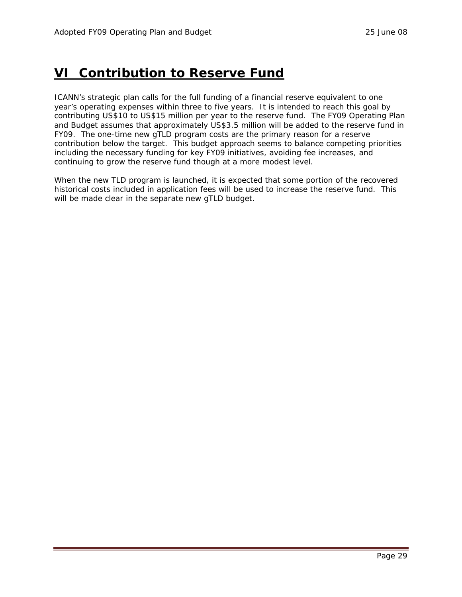## <span id="page-28-0"></span>**VI Contribution to Reserve Fund**

ICANN's strategic plan calls for the full funding of a financial reserve equivalent to one year's operating expenses within three to five years. It is intended to reach this goal by contributing US\$10 to US\$15 million per year to the reserve fund. The FY09 Operating Plan and Budget assumes that approximately US\$3.5 million will be added to the reserve fund in FY09. The one-time new gTLD program costs are the primary reason for a reserve contribution below the target. This budget approach seems to balance competing priorities including the necessary funding for key FY09 initiatives, avoiding fee increases, and continuing to grow the reserve fund though at a more modest level.

When the new TLD program is launched, it is expected that some portion of the recovered historical costs included in application fees will be used to increase the reserve fund. This will be made clear in the separate new gTLD budget.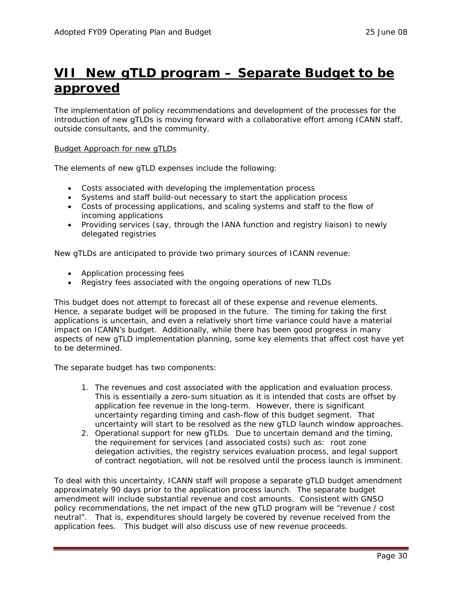## <span id="page-29-0"></span>**VII New gTLD program – Separate Budget to be approved**

The implementation of policy recommendations and development of the processes for the introduction of new gTLDs is moving forward with a collaborative effort among ICANN staff, outside consultants, and the community.

#### Budget Approach for new gTLDs

The elements of new gTLD expenses include the following:

- Costs associated with developing the implementation process
- Systems and staff build-out necessary to start the application process
- Costs of processing applications, and scaling systems and staff to the flow of incoming applications
- Providing services (say, through the IANA function and registry liaison) to newly delegated registries

New gTLDs are anticipated to provide two primary sources of ICANN revenue:

- Application processing fees
- Registry fees associated with the ongoing operations of new TLDs

This budget does not attempt to forecast all of these expense and revenue elements. Hence, a separate budget will be proposed in the future. The timing for taking the first applications is uncertain, and even a relatively short time variance could have a material impact on ICANN's budget. Additionally, while there has been good progress in many aspects of new gTLD implementation planning, some key elements that affect cost have yet to be determined.

The separate budget has two components:

- 1. The revenues and cost associated with the application and evaluation process. This is essentially a zero-sum situation as it is intended that costs are offset by application fee revenue in the long-term. However, there is significant uncertainty regarding timing and cash-flow of this budget segment. That uncertainty will start to be resolved as the new gTLD launch window approaches.
- 2. Operational support for new gTLDs. Due to uncertain demand and the timing, the requirement for services (and associated costs) such as: root zone delegation activities, the registry services evaluation process, and legal support of contract negotiation, will not be resolved until the process launch is imminent.

To deal with this uncertainty, ICANN staff will propose a separate gTLD budget amendment approximately 90 days prior to the application process launch. The separate budget amendment will include substantial revenue and cost amounts. Consistent with GNSO policy recommendations, the net impact of the new gTLD program will be "revenue / cost neutral". That is, expenditures should largely be covered by revenue received from the application fees. This budget will also discuss use of new revenue proceeds.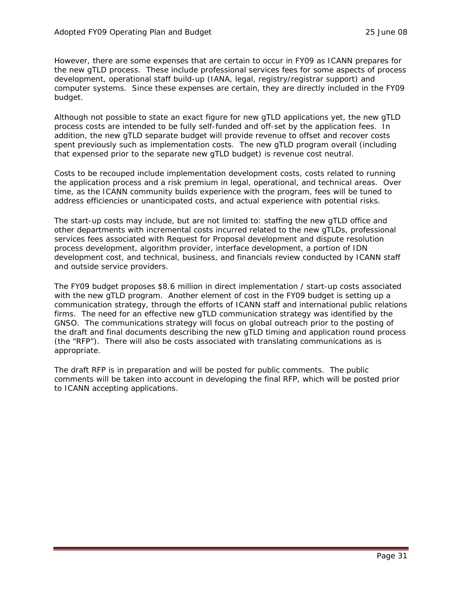However, there are some expenses that are certain to occur in FY09 as ICANN prepares for the new gTLD process. These include professional services fees for some aspects of process development, operational staff build-up (IANA, legal, registry/registrar support) and computer systems. Since these expenses are certain, they are directly included in the FY09 budget.

Although not possible to state an exact figure for new gTLD applications yet, the new gTLD process costs are intended to be fully self-funded and off-set by the application fees. In addition, the new gTLD separate budget will provide revenue to offset and recover costs spent previously such as implementation costs. The new gTLD program overall (including that expensed prior to the separate new gTLD budget) is revenue cost neutral.

Costs to be recouped include implementation development costs, costs related to running the application process and a risk premium in legal, operational, and technical areas. Over time, as the ICANN community builds experience with the program, fees will be tuned to address efficiencies or unanticipated costs, and actual experience with potential risks.

The start-up costs may include, but are not limited to: staffing the new gTLD office and other departments with incremental costs incurred related to the new gTLDs, professional services fees associated with Request for Proposal development and dispute resolution process development, algorithm provider, interface development, a portion of IDN development cost, and technical, business, and financials review conducted by ICANN staff and outside service providers.

The FY09 budget proposes \$8.6 million in direct implementation / start-up costs associated with the new gTLD program. Another element of cost in the FY09 budget is setting up a communication strategy, through the efforts of ICANN staff and international public relations firms. The need for an effective new gTLD communication strategy was identified by the GNSO. The communications strategy will focus on global outreach prior to the posting of the draft and final documents describing the new gTLD timing and application round process (the "RFP"). There will also be costs associated with translating communications as is appropriate.

The draft RFP is in preparation and will be posted for public comments. The public comments will be taken into account in developing the final RFP, which will be posted prior to ICANN accepting applications.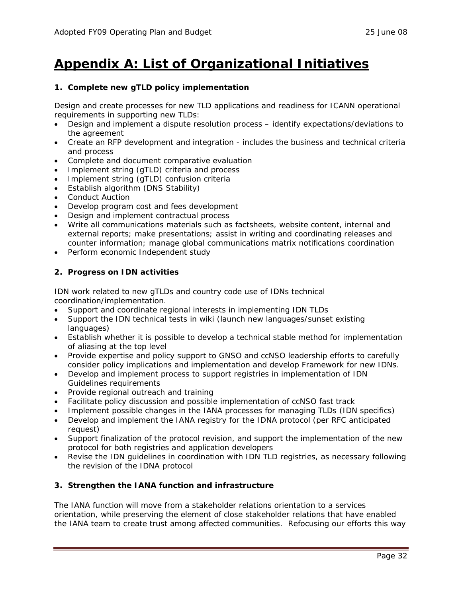## <span id="page-31-0"></span>**Appendix A: List of Organizational Initiatives**

### **1. Complete new gTLD policy implementation**

Design and create processes for new TLD applications and readiness for ICANN operational requirements in supporting new TLDs:

- Design and implement a dispute resolution process identify expectations/deviations to the agreement
- Create an RFP development and integration includes the business and technical criteria and process
- Complete and document comparative evaluation
- Implement string (gTLD) criteria and process
- Implement string (gTLD) confusion criteria
- Establish algorithm (DNS Stability)
- Conduct Auction
- Develop program cost and fees development
- Design and implement contractual process
- Write all communications materials such as factsheets, website content, internal and external reports; make presentations; assist in writing and coordinating releases and counter information; manage global communications matrix notifications coordination
- Perform economic Independent study

### **2. Progress on IDN activities**

IDN work related to new gTLDs and country code use of IDNs technical coordination/implementation.

- Support and coordinate regional interests in implementing IDN TLDs
- Support the IDN technical tests in wiki (launch new languages/sunset existing languages)
- Establish whether it is possible to develop a technical stable method for implementation of aliasing at the top level
- Provide expertise and policy support to GNSO and ccNSO leadership efforts to carefully consider policy implications and implementation and develop Framework for new IDNs.
- Develop and implement process to support registries in implementation of IDN Guidelines requirements
- Provide regional outreach and training
- Facilitate policy discussion and possible implementation of ccNSO fast track
- Implement possible changes in the IANA processes for managing TLDs (IDN specifics)
- Develop and implement the IANA registry for the IDNA protocol (per RFC anticipated request)
- Support finalization of the protocol revision, and support the implementation of the new protocol for both registries and application developers
- Revise the IDN guidelines in coordination with IDN TLD registries, as necessary following the revision of the IDNA protocol

### **3. Strengthen the IANA function and infrastructure**

The IANA function will move from a stakeholder relations orientation to a services orientation, while preserving the element of close stakeholder relations that have enabled the IANA team to create trust among affected communities. Refocusing our efforts this way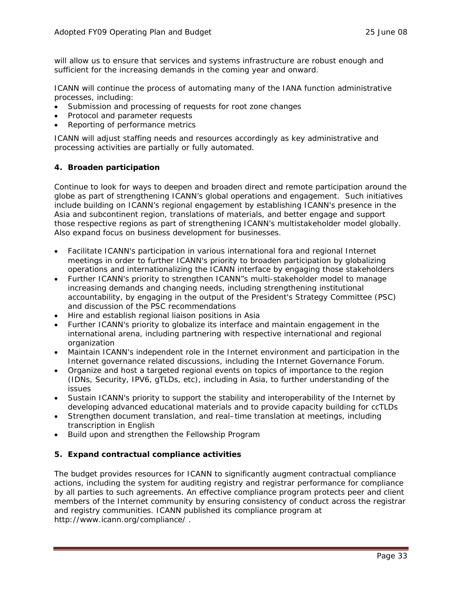will allow us to ensure that services and systems infrastructure are robust enough and sufficient for the increasing demands in the coming year and onward.

ICANN will continue the process of automating many of the IANA function administrative processes, including:

- Submission and processing of requests for root zone changes
- Protocol and parameter requests
- Reporting of performance metrics

ICANN will adjust staffing needs and resources accordingly as key administrative and processing activities are partially or fully automated.

### **4. Broaden participation**

Continue to look for ways to deepen and broaden direct and remote participation around the globe as part of strengthening ICANN's global operations and engagement. Such initiatives include building on ICANN's regional engagement by establishing ICANN's presence in the Asia and subcontinent region, translations of materials, and better engage and support those respective regions as part of strengthening ICANN's multistakeholder model globally. Also expand focus on business development for businesses.

- Facilitate ICANN's participation in various international fora and regional Internet meetings in order to further ICANN's priority to broaden participation by globalizing operations and internationalizing the ICANN interface by engaging those stakeholders
- Further ICANN's priority to strengthen ICANN"s multi-stakeholder model to manage increasing demands and changing needs, including strengthening institutional accountability, by engaging in the output of the President's Strategy Committee (PSC) and discussion of the PSC recommendations
- Hire and establish regional liaison positions in Asia
- Further ICANN's priority to globalize its interface and maintain engagement in the international arena, including partnering with respective international and regional organization
- Maintain ICANN's independent role in the Internet environment and participation in the Internet governance related discussions, including the Internet Governance Forum.
- Organize and host a targeted regional events on topics of importance to the region (IDNs, Security, IPV6, gTLDs, etc), including in Asia, to further understanding of the issues
- Sustain ICANN's priority to support the stability and interoperability of the Internet by developing advanced educational materials and to provide capacity building for ccTLDs
- Strengthen document translation, and real–time translation at meetings, including transcription in English
- Build upon and strengthen the Fellowship Program

### **5. Expand contractual compliance activities**

The budget provides resources for ICANN to significantly augment contractual compliance actions, including the system for auditing registry and registrar performance for compliance by all parties to such agreements. An effective compliance program protects peer and client members of the Internet community by ensuring consistency of conduct across the registrar and registry communities. ICANN published its compliance program at <http://www.icann.org/compliance/> .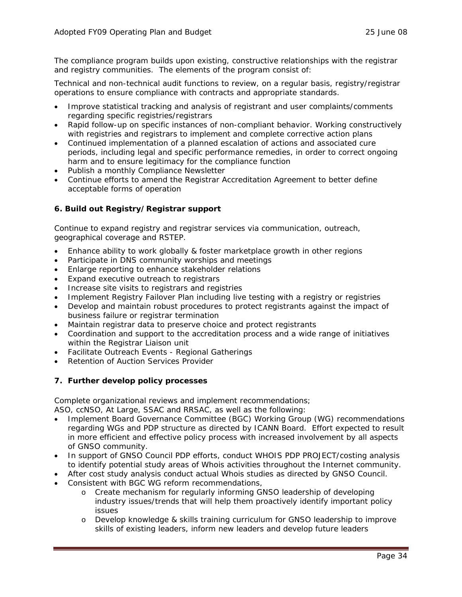The compliance program builds upon existing, constructive relationships with the registrar and registry communities. The elements of the program consist of:

Technical and non-technical audit functions to review, on a regular basis, registry/registrar operations to ensure compliance with contracts and appropriate standards.

- Improve statistical tracking and analysis of registrant and user complaints/comments regarding specific registries/registrars
- Rapid follow-up on specific instances of non-compliant behavior. Working constructively with registries and registrars to implement and complete corrective action plans
- Continued implementation of a planned escalation of actions and associated cure periods, including legal and specific performance remedies, in order to correct ongoing harm and to ensure legitimacy for the compliance function
- Publish a monthly Compliance Newsletter
- Continue efforts to amend the Registrar Accreditation Agreement to better define acceptable forms of operation

### **6. Build out Registry/Registrar support**

Continue to expand registry and registrar services via communication, outreach, geographical coverage and RSTEP.

- Enhance ability to work globally & foster marketplace growth in other regions
- Participate in DNS community worships and meetings
- Enlarge reporting to enhance stakeholder relations
- Expand executive outreach to registrars
- Increase site visits to registrars and registries
- Implement Registry Failover Plan including live testing with a registry or registries
- Develop and maintain robust procedures to protect registrants against the impact of business failure or registrar termination
- Maintain registrar data to preserve choice and protect registrants
- Coordination and support to the accreditation process and a wide range of initiatives within the Registrar Liaison unit
- Facilitate Outreach Events Regional Gatherings
- Retention of Auction Services Provider

### **7. Further develop policy processes**

Complete organizational reviews and implement recommendations;

ASO, ccNSO, At Large, SSAC and RRSAC, as well as the following:

- Implement Board Governance Committee (BGC) Working Group (WG) recommendations regarding WGs and PDP structure as directed by ICANN Board. Effort expected to result in more efficient and effective policy process with increased involvement by all aspects of GNSO community.
- In support of GNSO Council PDP efforts, conduct WHOIS PDP PROJECT/costing analysis to identify potential study areas of Whois activities throughout the Internet community.
- After cost study analysis conduct actual Whois studies as directed by GNSO Council.
- Consistent with BGC WG reform recommendations,
	- o Create mechanism for regularly informing GNSO leadership of developing industry issues/trends that will help them proactively identify important policy issues
	- o Develop knowledge & skills training curriculum for GNSO leadership to improve skills of existing leaders, inform new leaders and develop future leaders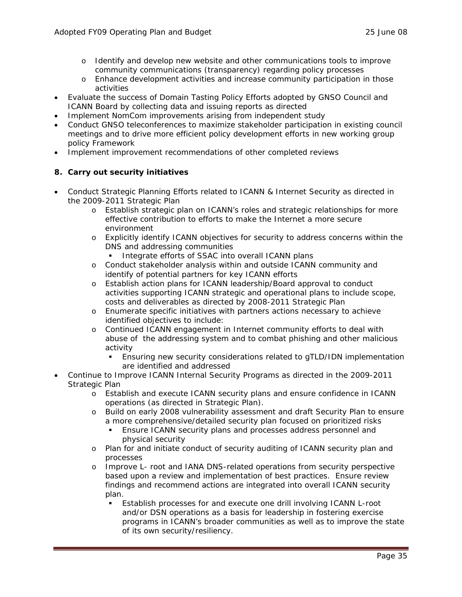- o Identify and develop new website and other communications tools to improve community communications (transparency) regarding policy processes
- o Enhance development activities and increase community participation in those activities
- Evaluate the success of Domain Tasting Policy Efforts adopted by GNSO Council and ICANN Board by collecting data and issuing reports as directed
- Implement NomCom improvements arising from independent study
- Conduct GNSO teleconferences to maximize stakeholder participation in existing council meetings and to drive more efficient policy development efforts in new working group policy Framework
- Implement improvement recommendations of other completed reviews

### **8. Carry out security initiatives**

- Conduct Strategic Planning Efforts related to ICANN & Internet Security as directed in the 2009-2011 Strategic Plan
	- o Establish strategic plan on ICANN's roles and strategic relationships for more effective contribution to efforts to make the Internet a more secure environment
	- o Explicitly identify ICANN objectives for security to address concerns within the DNS and addressing communities
		- Integrate efforts of SSAC into overall ICANN plans
	- o Conduct stakeholder analysis within and outside ICANN community and identify of potential partners for key ICANN efforts
	- o Establish action plans for ICANN leadership/Board approval to conduct activities supporting ICANN strategic and operational plans to include scope, costs and deliverables as directed by 2008-2011 Strategic Plan
	- o Enumerate specific initiatives with partners actions necessary to achieve identified objectives to include:
	- o Continued ICANN engagement in Internet community efforts to deal with abuse of the addressing system and to combat phishing and other malicious activity
		- Ensuring new security considerations related to gTLD/IDN implementation are identified and addressed
- Continue to Improve ICANN Internal Security Programs as directed in the 2009-2011 Strategic Plan
	- o Establish and execute ICANN security plans and ensure confidence in ICANN operations (as directed in Strategic Plan).
	- o Build on early 2008 vulnerability assessment and draft Security Plan to ensure a more comprehensive/detailed security plan focused on prioritized risks
		- Ensure ICANN security plans and processes address personnel and physical security
	- o Plan for and initiate conduct of security auditing of ICANN security plan and processes
	- o Improve L- root and IANA DNS-related operations from security perspective based upon a review and implementation of best practices. Ensure review findings and recommend actions are integrated into overall ICANN security plan.
		- Establish processes for and execute one drill involving ICANN L-root and/or DSN operations as a basis for leadership in fostering exercise programs in ICANN's broader communities as well as to improve the state of its own security/resiliency.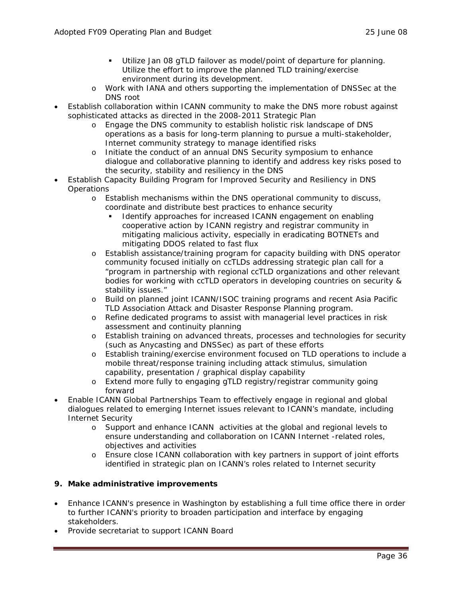- Utilize Jan 08 gTLD failover as model/point of departure for planning. Utilize the effort to improve the planned TLD training/exercise environment during its development.
- o Work with IANA and others supporting the implementation of DNSSec at the DNS root
- Establish collaboration within ICANN community to make the DNS more robust against sophisticated attacks as directed in the 2008-2011 Strategic Plan
	- Engage the DNS community to establish holistic risk landscape of DNS operations as a basis for long-term planning to pursue a multi-stakeholder, Internet community strategy to manage identified risks
	- o Initiate the conduct of an annual DNS Security symposium to enhance dialogue and collaborative planning to identify and address key risks posed to the security, stability and resiliency in the DNS
- Establish Capacity Building Program for Improved Security and Resiliency in DNS **Operations** 
	- o Establish mechanisms within the DNS operational community to discuss, coordinate and distribute best practices to enhance security
		- Identify approaches for increased ICANN engagement on enabling cooperative action by ICANN registry and registrar community in mitigating malicious activity, especially in eradicating BOTNETs and mitigating DDOS related to fast flux
	- o Establish assistance/training program for capacity building with DNS operator community focused initially on ccTLDs addressing strategic plan call for a "program in partnership with regional ccTLD organizations and other relevant bodies for working with ccTLD operators in developing countries on security & stability issues."
	- o Build on planned joint ICANN/ISOC training programs and recent Asia Pacific TLD Association Attack and Disaster Response Planning program.
	- o Refine dedicated programs to assist with managerial level practices in risk assessment and continuity planning
	- o Establish training on advanced threats, processes and technologies for security (such as Anycasting and DNSSec) as part of these efforts
	- o Establish training/exercise environment focused on TLD operations to include a mobile threat/response training including attack stimulus, simulation capability, presentation / graphical display capability
	- o Extend more fully to engaging gTLD registry/registrar community going forward
- Enable ICANN Global Partnerships Team to effectively engage in regional and global dialogues related to emerging Internet issues relevant to ICANN's mandate, including Internet Security
	- o Support and enhance ICANN activities at the global and regional levels to ensure understanding and collaboration on ICANN Internet -related roles, objectives and activities
	- o Ensure close ICANN collaboration with key partners in support of joint efforts identified in strategic plan on ICANN's roles related to Internet security

### **9. Make administrative improvements**

- Enhance ICANN's presence in Washington by establishing a full time office there in order to further ICANN's priority to broaden participation and interface by engaging stakeholders.
- Provide secretariat to support ICANN Board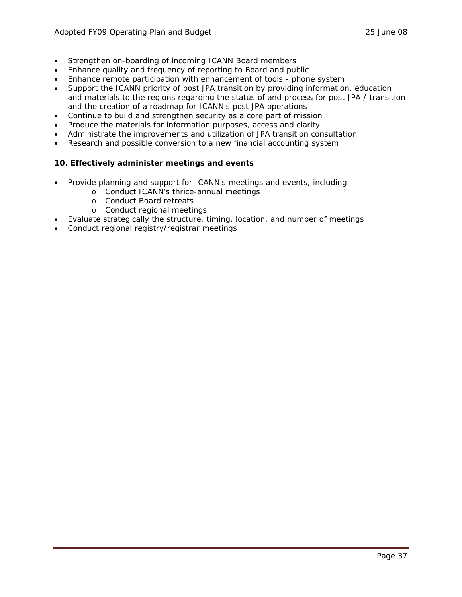- Strengthen on-boarding of incoming ICANN Board members
- Enhance quality and frequency of reporting to Board and public
- Enhance remote participation with enhancement of tools phone system
- Support the ICANN priority of post JPA transition by providing information, education and materials to the regions regarding the status of and process for post JPA / transition and the creation of a roadmap for ICANN's post JPA operations
- Continue to build and strengthen security as a core part of mission
- Produce the materials for information purposes, access and clarity
- Administrate the improvements and utilization of JPA transition consultation
- Research and possible conversion to a new financial accounting system

### **10. Effectively administer meetings and events**

- Provide planning and support for ICANN's meetings and events, including:
	- o Conduct ICANN's thrice-annual meetings
	- o Conduct Board retreats
	- o Conduct regional meetings
- Evaluate strategically the structure, timing, location, and number of meetings
- Conduct regional registry/registrar meetings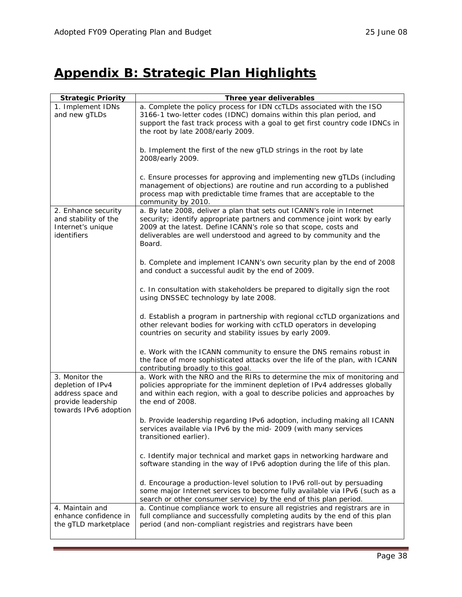## <span id="page-37-0"></span>**Appendix B: Strategic Plan Highlights**

| <b>Strategic Priority</b>                                                                               | Three year deliverables                                                                                                                                                                                                                                                                                 |
|---------------------------------------------------------------------------------------------------------|---------------------------------------------------------------------------------------------------------------------------------------------------------------------------------------------------------------------------------------------------------------------------------------------------------|
| 1. Implement IDNs<br>and new gTLDs                                                                      | a. Complete the policy process for IDN ccTLDs associated with the ISO<br>3166-1 two-letter codes (IDNC) domains within this plan period, and<br>support the fast track process with a goal to get first country code IDNCs in<br>the root by late 2008/early 2009.                                      |
|                                                                                                         | b. Implement the first of the new gTLD strings in the root by late<br>2008/early 2009.                                                                                                                                                                                                                  |
|                                                                                                         | c. Ensure processes for approving and implementing new gTLDs (including<br>management of objections) are routine and run according to a published<br>process map with predictable time frames that are acceptable to the<br>community by 2010.                                                          |
| 2. Enhance security<br>and stability of the<br>Internet's unique<br>identifiers                         | a. By late 2008, deliver a plan that sets out ICANN's role in Internet<br>security; identify appropriate partners and commence joint work by early<br>2009 at the latest. Define ICANN's role so that scope, costs and<br>deliverables are well understood and agreed to by community and the<br>Board. |
|                                                                                                         | b. Complete and implement ICANN's own security plan by the end of 2008<br>and conduct a successful audit by the end of 2009.                                                                                                                                                                            |
|                                                                                                         | c. In consultation with stakeholders be prepared to digitally sign the root<br>using DNSSEC technology by late 2008.                                                                                                                                                                                    |
|                                                                                                         | d. Establish a program in partnership with regional ccTLD organizations and<br>other relevant bodies for working with ccTLD operators in developing<br>countries on security and stability issues by early 2009.                                                                                        |
|                                                                                                         | e. Work with the ICANN community to ensure the DNS remains robust in<br>the face of more sophisticated attacks over the life of the plan, with ICANN<br>contributing broadly to this goal.                                                                                                              |
| 3. Monitor the<br>depletion of IPv4<br>address space and<br>provide leadership<br>towards IPv6 adoption | a. Work with the NRO and the RIRs to determine the mix of monitoring and<br>policies appropriate for the imminent depletion of IPv4 addresses globally<br>and within each region, with a goal to describe policies and approaches by<br>the end of 2008.                                                |
|                                                                                                         | b. Provide leadership regarding IPv6 adoption, including making all ICANN<br>services available via IPv6 by the mid- 2009 (with many services<br>transitioned earlier).                                                                                                                                 |
|                                                                                                         | c. Identify major technical and market gaps in networking hardware and<br>software standing in the way of IPv6 adoption during the life of this plan.                                                                                                                                                   |
|                                                                                                         | d. Encourage a production-level solution to IPv6 roll-out by persuading<br>some major Internet services to become fully available via IPv6 (such as a<br>search or other consumer service) by the end of this plan period.                                                                              |
| 4. Maintain and<br>enhance confidence in<br>the gTLD marketplace                                        | a. Continue compliance work to ensure all registries and registrars are in<br>full compliance and successfully completing audits by the end of this plan<br>period (and non-compliant registries and registrars have been                                                                               |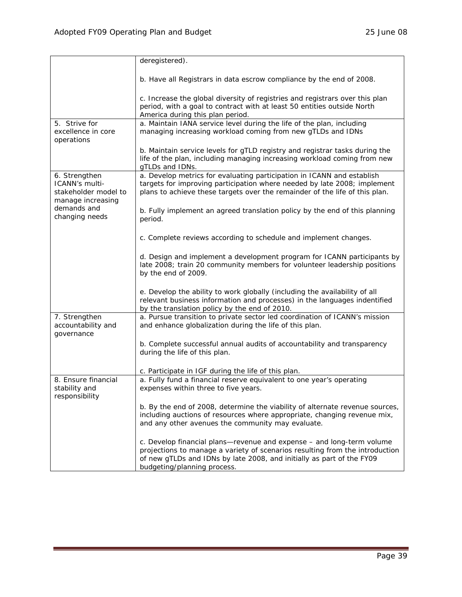<span id="page-38-0"></span>

|                                                                              | deregistered).                                                                                                                                                                                                                                                |
|------------------------------------------------------------------------------|---------------------------------------------------------------------------------------------------------------------------------------------------------------------------------------------------------------------------------------------------------------|
|                                                                              | b. Have all Registrars in data escrow compliance by the end of 2008.                                                                                                                                                                                          |
|                                                                              | c. Increase the global diversity of registries and registrars over this plan<br>period, with a goal to contract with at least 50 entities outside North<br>America during this plan period.                                                                   |
| 5. Strive for                                                                | a. Maintain IANA service level during the life of the plan, including                                                                                                                                                                                         |
| excellence in core<br>operations                                             | managing increasing workload coming from new gTLDs and IDNs                                                                                                                                                                                                   |
|                                                                              | b. Maintain service levels for gTLD registry and registrar tasks during the<br>life of the plan, including managing increasing workload coming from new<br>gTLDs and IDNs.                                                                                    |
| 6. Strengthen<br>ICANN's multi-<br>stakeholder model to<br>manage increasing | a. Develop metrics for evaluating participation in ICANN and establish<br>targets for improving participation where needed by late 2008; implement<br>plans to achieve these targets over the remainder of the life of this plan.                             |
| demands and<br>changing needs                                                | b. Fully implement an agreed translation policy by the end of this planning<br>period.                                                                                                                                                                        |
|                                                                              | c. Complete reviews according to schedule and implement changes.                                                                                                                                                                                              |
|                                                                              | d. Design and implement a development program for ICANN participants by<br>late 2008; train 20 community members for volunteer leadership positions<br>by the end of 2009.                                                                                    |
|                                                                              | e. Develop the ability to work globally (including the availability of all<br>relevant business information and processes) in the languages indentified<br>by the translation policy by the end of 2010.                                                      |
| 7. Strengthen<br>accountability and<br>governance                            | a. Pursue transition to private sector led coordination of ICANN's mission<br>and enhance globalization during the life of this plan.                                                                                                                         |
|                                                                              | b. Complete successful annual audits of accountability and transparency<br>during the life of this plan.                                                                                                                                                      |
|                                                                              | c. Participate in IGF during the life of this plan.                                                                                                                                                                                                           |
| 8. Ensure financial<br>stability and<br>responsibility                       | a. Fully fund a financial reserve equivalent to one year's operating<br>expenses within three to five years.                                                                                                                                                  |
|                                                                              | b. By the end of 2008, determine the viability of alternate revenue sources,<br>including auctions of resources where appropriate, changing revenue mix,<br>and any other avenues the community may evaluate.                                                 |
|                                                                              | c. Develop financial plans-revenue and expense - and long-term volume<br>projections to manage a variety of scenarios resulting from the introduction<br>of new gTLDs and IDNs by late 2008, and initially as part of the FY09<br>budgeting/planning process. |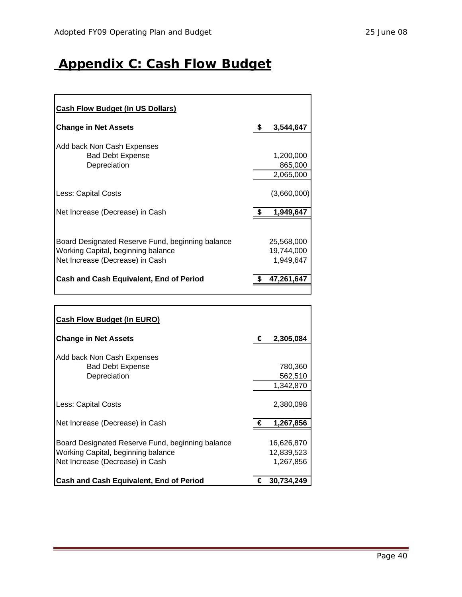## <span id="page-39-0"></span>**Appendix C: Cash Flow Budget**

| <b>Cash Flow Budget (In US Dollars)</b>                                                                                   |                                       |
|---------------------------------------------------------------------------------------------------------------------------|---------------------------------------|
| <b>Change in Net Assets</b>                                                                                               | \$<br>3,544,647                       |
| Add back Non Cash Expenses<br><b>Bad Debt Expense</b><br>Depreciation                                                     | 1,200,000<br>865,000<br>2,065,000     |
| Less: Capital Costs                                                                                                       | (3,660,000)                           |
| Net Increase (Decrease) in Cash                                                                                           | 1,949,647                             |
| Board Designated Reserve Fund, beginning balance<br>Working Capital, beginning balance<br>Net Increase (Decrease) in Cash | 25,568,000<br>19,744,000<br>1,949,647 |
| Cash and Cash Equivalent, End of Period                                                                                   | 47,261,647                            |

| <b>Cash Flow Budget (In EURO)</b>                                                                                         |   |                                       |
|---------------------------------------------------------------------------------------------------------------------------|---|---------------------------------------|
| <b>Change in Net Assets</b>                                                                                               | € | 2,305,084                             |
| Add back Non Cash Expenses<br><b>Bad Debt Expense</b><br>Depreciation                                                     |   | 780,360<br>562,510<br>1,342,870       |
| Less: Capital Costs                                                                                                       |   | 2,380,098                             |
| Net Increase (Decrease) in Cash                                                                                           | € | 1,267,856                             |
| Board Designated Reserve Fund, beginning balance<br>Working Capital, beginning balance<br>Net Increase (Decrease) in Cash |   | 16,626,870<br>12,839,523<br>1,267,856 |
| <b>Cash and Cash Equivalent, End of Period</b>                                                                            | € | 30,734,249                            |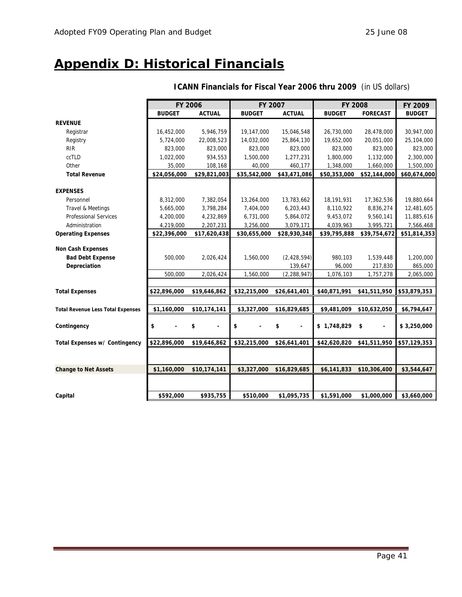## <span id="page-40-0"></span>**Appendix D: Historical Financials**

|                                          | <b>FY 2006</b> |               | FY 2007       |               | <b>FY 2008</b> |                      | FY 2009       |
|------------------------------------------|----------------|---------------|---------------|---------------|----------------|----------------------|---------------|
|                                          | <b>BUDGET</b>  | <b>ACTUAL</b> | <b>BUDGET</b> | <b>ACTUAL</b> | <b>BUDGET</b>  | <b>FORECAST</b>      | <b>BUDGET</b> |
| <b>REVENUE</b>                           |                |               |               |               |                |                      |               |
| Registrar                                | 16,452,000     | 5,946,759     | 19,147,000    | 15,046,548    | 26,730,000     | 28,478,000           | 30,947,000    |
| Registry                                 | 5,724,000      | 22,008,523    | 14,032,000    | 25,864,130    | 19,652,000     | 20,051,000           | 25,104,000    |
| <b>RIR</b>                               | 823,000        | 823,000       | 823,000       | 823,000       | 823,000        | 823,000              | 823,000       |
| ccTLD                                    | 1,022,000      | 934,553       | 1,500,000     | 1,277,231     | 1,800,000      | 1,132,000            | 2,300,000     |
| Other                                    | 35,000         | 108,168       | 40,000        | 460,177       | 1,348,000      | 1,660,000            | 1,500,000     |
| <b>Total Revenue</b>                     | \$24,056,000   | \$29,821,003  | \$35,542,000  | \$43,471,086  | \$50,353,000   | \$52,144,000         | \$60,674,000  |
|                                          |                |               |               |               |                |                      |               |
| <b>EXPENSES</b>                          |                |               |               |               |                |                      |               |
| Personnel                                | 8,312,000      | 7,382,054     | 13,264,000    | 13,783,662    | 18,191,931     | 17,362,536           | 19,880,664    |
| Travel & Meetings                        | 5,665,000      | 3,798,284     | 7,404,000     | 6,203,443     | 8,110,922      | 8,836,274            | 12,481,605    |
| <b>Professional Services</b>             | 4,200,000      | 4,232,869     | 6,731,000     | 5,864,072     | 9,453,072      | 9,560,141            | 11,885,616    |
| Administration                           | 4,219,000      | 2,207,231     | 3,256,000     | 3,079,171     | 4,039,963      | 3,995,721            | 7,566,468     |
| <b>Operating Expenses</b>                | \$22,396,000   | \$17,620,438  | \$30,655,000  | \$28,930,348  | \$39,795,888   | \$39,754,672         | \$51,814,353  |
|                                          |                |               |               |               |                |                      |               |
| <b>Non Cash Expenses</b>                 |                |               |               |               |                |                      |               |
| <b>Bad Debt Expense</b>                  | 500,000        | 2,026,424     | 1,560,000     | (2,428,594)   | 980,103        | 1,539,448            | 1,200,000     |
| Depreciation                             |                |               |               | 139,647       | 96,000         | 217,830              | 865,000       |
|                                          | 500,000        | 2,026,424     | 1,560,000     | (2, 288, 947) | 1,076,103      | 1,757,278            | 2,065,000     |
| <b>Total Expenses</b>                    | \$22,896,000   | \$19,646,862  | \$32,215,000  | \$26,641,401  | \$40,871,991   | \$41,511,950         | \$53,879,353  |
|                                          |                |               |               |               |                |                      |               |
| <b>Total Revenue Less Total Expenses</b> | \$1,160,000    | \$10,174,141  | \$3,327,000   | \$16,829,685  | \$9,481,009    | \$10,632,050         | \$6,794,647   |
|                                          |                |               |               |               |                |                      |               |
| Contingency                              | \$             | \$            | \$            | \$            | \$1,748,829    | \$<br>$\blacksquare$ | \$3,250,000   |
|                                          |                |               |               |               |                |                      |               |
| Total Expenses w/ Contingency            | \$22,896,000   | \$19,646,862  | \$32,215,000  | \$26,641,401  | \$42,620,820   | \$41,511,950         | \$57,129,353  |
|                                          |                |               |               |               |                |                      |               |
|                                          |                |               |               |               |                |                      |               |
| <b>Change to Net Assets</b>              | \$1,160,000    | \$10,174,141  | \$3,327,000   | \$16,829,685  | \$6,141,833    | \$10,306,400         | \$3,544,647   |
|                                          |                |               |               |               |                |                      |               |
|                                          |                |               |               |               |                |                      |               |
| Capital                                  | \$592,000      | \$935,755     | \$510,000     | \$1,095,735   | \$1,591,000    | \$1,000,000          | \$3,660,000   |

### **ICANN Financials for Fiscal Year 2006 thru 2009** (in US dollars)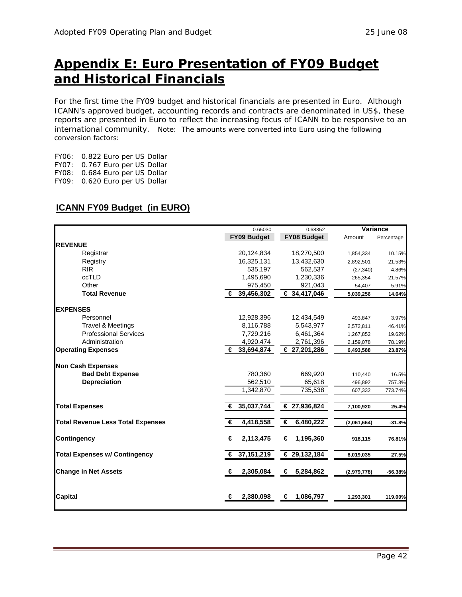## <span id="page-41-0"></span>**Appendix E: Euro Presentation of FY09 Budget and Historical Financials**

For the first time the FY09 budget and historical financials are presented in Euro. Although ICANN's approved budget, accounting records and contracts are denominated in US\$, these reports are presented in Euro to reflect the increasing focus of ICANN to be responsive to an international community. Note: The amounts were converted into Euro using the following conversion factors:

FY06: 0.822 Euro per US Dollar FY07: 0.767 Euro per US Dollar FY08: 0.684 Euro per US Dollar FY09: 0.620 Euro per US Dollar

### **ICANN FY09 Budget (in EURO)**

|                                          | 0.65030         | 0.68352            |             | Variance   |
|------------------------------------------|-----------------|--------------------|-------------|------------|
|                                          | FY09 Budget     | <b>FY08 Budget</b> | Amount      | Percentage |
| <b>REVENUE</b>                           |                 |                    |             |            |
| Registrar                                | 20,124,834      | 18,270,500         | 1,854,334   | 10.15%     |
| Registry                                 | 16,325,131      | 13,432,630         | 2,892,501   | 21.53%     |
| <b>RIR</b>                               | 535,197         | 562,537            | (27, 340)   | $-4.86%$   |
| ccTLD                                    | 1,495,690       | 1,230,336          | 265,354     | 21.57%     |
| Other                                    | 975,450         | 921,043            | 54,407      | 5.91%      |
| <b>Total Revenue</b>                     | € 39,456,302    | € 34,417,046       | 5,039,256   | 14.64%     |
| <b>EXPENSES</b>                          |                 |                    |             |            |
| Personnel                                | 12,928,396      | 12,434,549         | 493,847     | 3.97%      |
| Travel & Meetings                        | 8,116,788       | 5,543,977          | 2,572,811   | 46.41%     |
| <b>Professional Services</b>             | 7,729,216       | 6,461,364          | 1,267,852   | 19.62%     |
| Administration                           | 4,920,474       | 2,761,396          | 2,159,078   | 78.19%     |
| <b>Operating Expenses</b>                | € 33,694,874    | € 27,201,286       | 6,493,588   | 23.87%     |
| <b>Non Cash Expenses</b>                 |                 |                    |             |            |
| <b>Bad Debt Expense</b>                  | 780,360         | 669,920            | 110,440     | 16.5%      |
| <b>Depreciation</b>                      | 562,510         | 65,618             | 496,892     | 757.3%     |
|                                          | 1,342,870       | 735,538            | 607,332     | 773.74%    |
| <b>Total Expenses</b>                    | 35,037,744<br>€ | € 27,936,824       | 7,100,920   | 25.4%      |
| <b>Total Revenue Less Total Expenses</b> | 4,418,558<br>€  | 6,480,222<br>€     | (2,061,664) | $-31.8%$   |
| <b>Contingency</b>                       | 2,113,475<br>€  | 1,195,360<br>€     | 918,115     | 76.81%     |
| <b>Total Expenses w/ Contingency</b>     | 37,151,219<br>€ | € 29,132,184       | 8,019,035   | 27.5%      |
| <b>Change in Net Assets</b>              | 2,305,084<br>€  | 5,284,862<br>€     | (2,979,778) | $-56.38%$  |
| <b>Capital</b>                           | 2,380,098<br>€  | 1,086,797<br>€     | 1,293,301   | 119.00%    |
|                                          |                 |                    |             |            |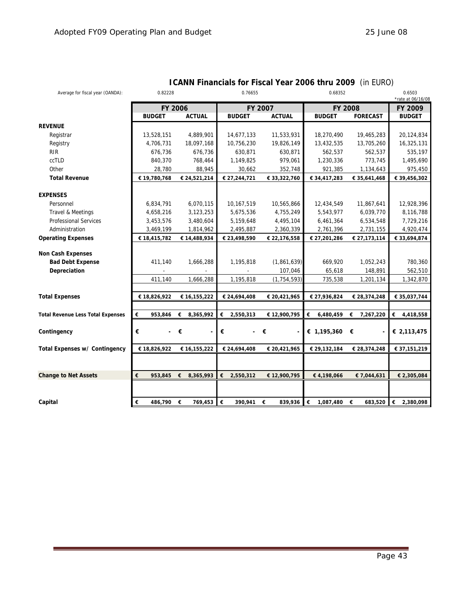| Average for fiscal year (OANDA):         | 0.82228                       |                | 0.76655        |               | 0.68352        | 0.6503<br>*rate at 06/16/08 |                |
|------------------------------------------|-------------------------------|----------------|----------------|---------------|----------------|-----------------------------|----------------|
|                                          |                               | FY 2006        |                | FY 2007       |                | FY 2008                     | FY 2009        |
|                                          | <b>BUDGET</b>                 | <b>ACTUAL</b>  | <b>BUDGET</b>  | <b>ACTUAL</b> | <b>BUDGET</b>  | <b>FORECAST</b>             | <b>BUDGET</b>  |
| <b>REVENUE</b>                           |                               |                |                |               |                |                             |                |
| Registrar                                | 13,528,151                    | 4,889,901      | 14,677,133     | 11,533,931    | 18,270,490     | 19,465,283                  | 20,124,834     |
| Registry                                 | 4,706,731                     | 18,097,168     | 10,756,230     | 19,826,149    | 13,432,535     | 13,705,260                  | 16,325,131     |
| <b>RIR</b>                               | 676,736                       | 676,736        | 630,871        | 630,871       | 562,537        | 562,537                     | 535,197        |
| ccTLD                                    | 840,370                       | 768,464        | 1,149,825      | 979,061       | 1,230,336      | 773,745                     | 1,495,690      |
| Other                                    | 28,780                        | 88,945         | 30,662         | 352,748       | 921,385        | 1,134,643                   | 975,450        |
| <b>Total Revenue</b>                     | € 19,780,768                  | € 24,521,214   | € 27,244,721   | € 33,322,760  | € 34,417,283   | € 35,641,468                | € 39,456,302   |
| <b>EXPENSES</b>                          |                               |                |                |               |                |                             |                |
| Personnel                                | 6,834,791                     | 6,070,115      | 10,167,519     | 10,565,866    | 12,434,549     | 11,867,641                  | 12,928,396     |
| Travel & Meetings                        | 4,658,216                     | 3,123,253      | 5,675,536      | 4,755,249     | 5,543,977      | 6,039,770                   | 8,116,788      |
| <b>Professional Services</b>             | 3,453,576                     | 3,480,604      | 5,159,648      | 4,495,104     | 6,461,364      | 6,534,548                   | 7,729,216      |
| Administration                           | 3,469,199                     | 1,814,962      | 2,495,887      | 2,360,339     | 2,761,396      | 2,731,155                   | 4,920,474      |
| <b>Operating Expenses</b>                | € 18,415,782                  | € 14,488,934   | € 23,498,590   | € 22,176,558  | € 27,201,286   | € 27,173,114                | € 33,694,874   |
| <b>Non Cash Expenses</b>                 |                               |                |                |               |                |                             |                |
| <b>Bad Debt Expense</b>                  | 411,140                       | 1,666,288      | 1,195,818      | (1,861,639)   | 669,920        | 1,052,243                   | 780,360        |
| Depreciation                             |                               |                |                | 107,046       | 65,618         | 148,891                     | 562,510        |
|                                          | 411,140                       | 1,666,288      | 1,195,818      | (1, 754, 593) | 735,538        | 1,201,134                   | 1,342,870      |
|                                          |                               |                |                |               |                |                             |                |
| <b>Total Expenses</b>                    | € 18,826,922                  | € 16,155,222   | € 24,694,408   | € 20,421,965  | € 27,936,824   | € 28,374,248                | € 35,037,744   |
|                                          |                               |                |                |               |                |                             |                |
| <b>Total Revenue Less Total Expenses</b> | €<br>953,846                  | 8,365,992<br>€ | €<br>2,550,313 | € 12,900,795  | €<br>6,480,459 | 7,267,220<br>€              | €<br>4,418,558 |
| Contingency                              | €<br>$\overline{\phantom{0}}$ | €              | €              | €             | € $1,195,360$  | €                           | € 2,113,475    |
|                                          |                               |                |                |               |                |                             |                |
| Total Expenses w/ Contingency            | € 18,826,922                  | € 16,155,222   | € 24,694,408   | € 20,421,965  | € 29,132,184   | € 28,374,248                | € 37,151,219   |
|                                          |                               |                |                |               |                |                             |                |
| <b>Change to Net Assets</b>              | €<br>953,845 €                | 8,365,993      | €<br>2,550,312 | € 12,900,795  | €4,198,066     | € 7,044,631                 | € 2,305,084    |
|                                          |                               |                |                |               |                |                             |                |
| Capital                                  | €<br>486,790                  | 769,453<br>€   | €<br>390,941   | 839,936<br>€  | €<br>1,087,480 | €<br>683,520                | €<br>2,380,098 |

### **ICANN Financials for Fiscal Year 2006 thru 2009** (in EURO)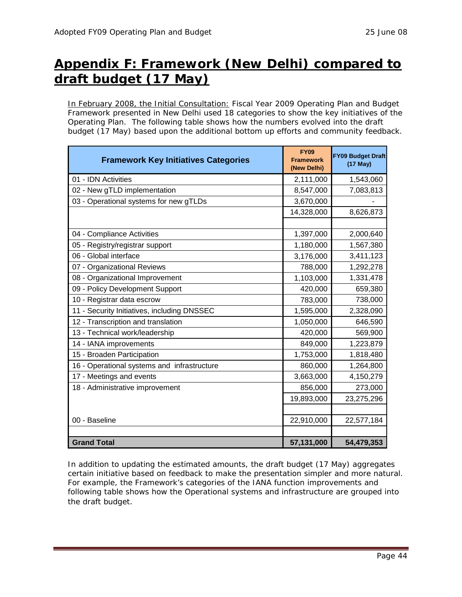## <span id="page-43-0"></span>**Appendix F: Framework (New Delhi) compared to draft budget (17 May)**

In February 2008, the Initial Consultation: Fiscal Year 2009 Operating Plan and Budget Framework presented in New Delhi used 18 categories to show the key initiatives of the Operating Plan. The following table shows how the numbers evolved into the draft budget (17 May) based upon the additional bottom up efforts and community feedback.

| <b>Framework Key Initiatives Categories</b> | <b>FY09</b><br><b>Framework</b><br>(New Delhi) | <b>FY09 Budget Draft</b><br>$(17$ May) |
|---------------------------------------------|------------------------------------------------|----------------------------------------|
| 01 - IDN Activities                         | 2,111,000                                      | 1,543,060                              |
| 02 - New gTLD implementation                | 8,547,000                                      | 7,083,813                              |
| 03 - Operational systems for new gTLDs      | 3,670,000                                      |                                        |
|                                             | 14,328,000                                     | 8,626,873                              |
|                                             |                                                |                                        |
| 04 - Compliance Activities                  | 1,397,000                                      | 2,000,640                              |
| 05 - Registry/registrar support             | 1,180,000                                      | 1,567,380                              |
| 06 - Global interface                       | 3,176,000                                      | 3,411,123                              |
| 07 - Organizational Reviews                 | 788,000                                        | 1,292,278                              |
| 08 - Organizational Improvement             | 1,103,000                                      | 1,331,478                              |
| 09 - Policy Development Support             | 420,000                                        | 659,380                                |
| 10 - Registrar data escrow                  | 783,000                                        | 738,000                                |
| 11 - Security Initiatives, including DNSSEC | 1,595,000                                      | 2,328,090                              |
| 12 - Transcription and translation          | 1,050,000                                      | 646,590                                |
| 13 - Technical work/leadership              | 420,000                                        | 569,900                                |
| 14 - IANA improvements                      | 849,000                                        | 1,223,879                              |
| 15 - Broaden Participation                  | 1,753,000                                      | 1,818,480                              |
| 16 - Operational systems and infrastructure | 860,000                                        | 1,264,800                              |
| 17 - Meetings and events                    | 3,663,000                                      | 4,150,279                              |
| 18 - Administrative improvement             | 856,000                                        | 273,000                                |
|                                             | 19,893,000                                     | 23,275,296                             |
|                                             |                                                |                                        |
| 00 - Baseline                               | 22,910,000                                     | 22,577,184                             |
|                                             |                                                |                                        |
| <b>Grand Total</b>                          | 57,131,000                                     | 54,479,353                             |

In addition to updating the estimated amounts, the draft budget (17 May) aggregates certain initiative based on feedback to make the presentation simpler and more natural. For example, the Framework's categories of the IANA function improvements and following table shows how the Operational systems and infrastructure are grouped into the draft budget.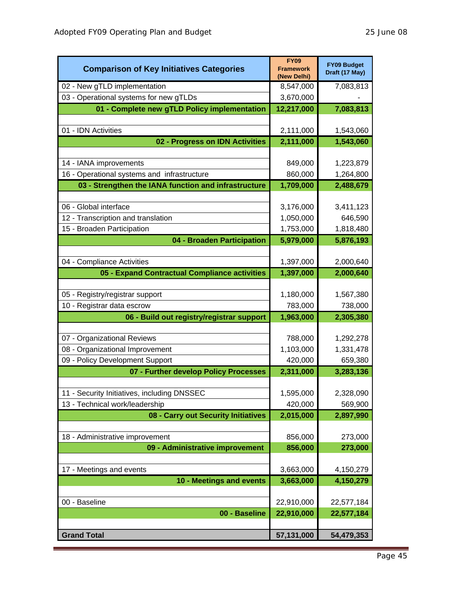| <b>Comparison of Key Initiatives Categories</b>                                                     | <b>FY09</b><br><b>Framework</b><br>(New Delhi) | <b>FY09 Budget</b><br>Draft (17 May) |
|-----------------------------------------------------------------------------------------------------|------------------------------------------------|--------------------------------------|
| 02 - New gTLD implementation                                                                        | 8,547,000                                      | 7,083,813                            |
| 03 - Operational systems for new gTLDs                                                              | 3,670,000                                      |                                      |
| 01 - Complete new gTLD Policy implementation                                                        | 12,217,000                                     | 7,083,813                            |
|                                                                                                     |                                                |                                      |
| 01 - IDN Activities                                                                                 | 2,111,000                                      | 1,543,060                            |
| 02 - Progress on IDN Activities                                                                     | 2,111,000                                      | 1,543,060                            |
|                                                                                                     |                                                |                                      |
| 14 - IANA improvements                                                                              | 849,000                                        | 1,223,879                            |
| 16 - Operational systems and infrastructure<br>03 - Strengthen the IANA function and infrastructure | 860,000<br>1,709,000                           | 1,264,800<br>2,488,679               |
|                                                                                                     |                                                |                                      |
| 06 - Global interface                                                                               | 3,176,000                                      | 3,411,123                            |
| 12 - Transcription and translation                                                                  | 1,050,000                                      | 646,590                              |
| 15 - Broaden Participation                                                                          | 1,753,000                                      | 1,818,480                            |
| 04 - Broaden Participation                                                                          | 5,979,000                                      | 5,876,193                            |
|                                                                                                     |                                                |                                      |
| 04 - Compliance Activities                                                                          | 1,397,000                                      | 2,000,640                            |
| 05 - Expand Contractual Compliance activities                                                       | 1,397,000                                      | 2,000,640                            |
|                                                                                                     |                                                |                                      |
| 05 - Registry/registrar support                                                                     | 1,180,000                                      | 1,567,380                            |
| 10 - Registrar data escrow                                                                          | 783,000                                        | 738,000                              |
| 06 - Build out registry/registrar support                                                           | 1,963,000                                      | 2,305,380                            |
|                                                                                                     |                                                |                                      |
| 07 - Organizational Reviews                                                                         | 788,000                                        | 1,292,278                            |
| 08 - Organizational Improvement                                                                     | 1,103,000                                      | 1,331,478                            |
| 09 - Policy Development Support                                                                     | 420,000                                        | 659,380                              |
| 07 - Further develop Policy Processes                                                               | 2,311,000                                      | 3,283,136                            |
| 11 - Security Initiatives, including DNSSEC                                                         | 1,595,000                                      | 2,328,090                            |
| 13 - Technical work/leadership                                                                      | 420,000                                        | 569,900                              |
| 08 - Carry out Security Initiatives                                                                 | 2,015,000                                      | 2,897,990                            |
|                                                                                                     |                                                |                                      |
| 18 - Administrative improvement                                                                     | 856,000                                        | 273,000                              |
| 09 - Administrative improvement                                                                     | 856,000                                        | 273,000                              |
|                                                                                                     |                                                |                                      |
| 17 - Meetings and events                                                                            | 3,663,000                                      | 4,150,279                            |
| 10 - Meetings and events                                                                            | 3,663,000                                      | 4,150,279                            |
|                                                                                                     |                                                |                                      |
| 00 - Baseline                                                                                       | 22,910,000                                     | 22,577,184                           |
| 00 - Baseline                                                                                       | 22,910,000                                     | 22,577,184                           |
| <b>Grand Total</b>                                                                                  |                                                |                                      |
|                                                                                                     | 57,131,000                                     | 54,479,353                           |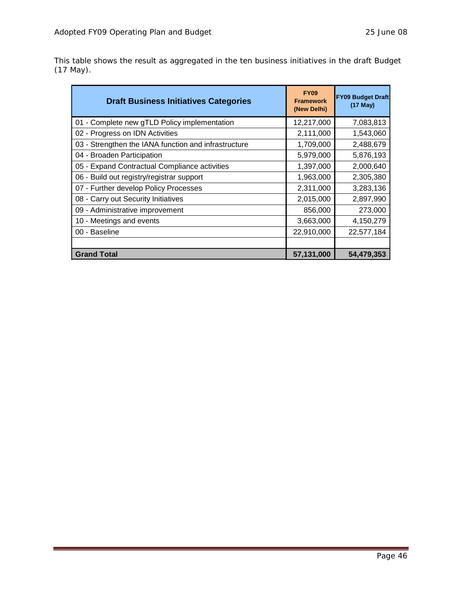This table shows the result as aggregated in the ten business initiatives in the draft Budget (17 May).

| <b>Draft Business Initiatives Categories</b>         | <b>FY09</b><br><b>Framework</b><br>(New Delhi) | <b>FY09 Budget Draft</b><br>(17 May) |
|------------------------------------------------------|------------------------------------------------|--------------------------------------|
| 01 - Complete new gTLD Policy implementation         | 12,217,000                                     | 7,083,813                            |
| 02 - Progress on IDN Activities                      | 2,111,000                                      | 1,543,060                            |
| 03 - Strengthen the IANA function and infrastructure | 1,709,000                                      | 2,488,679                            |
| 04 - Broaden Participation                           | 5,979,000                                      | 5,876,193                            |
| 05 - Expand Contractual Compliance activities        | 1,397,000                                      | 2,000,640                            |
| 06 - Build out registry/registrar support            | 1,963,000                                      | 2,305,380                            |
| 07 - Further develop Policy Processes                | 2,311,000                                      | 3,283,136                            |
| 08 - Carry out Security Initiatives                  | 2,015,000                                      | 2,897,990                            |
| 09 - Administrative improvement                      | 856,000                                        | 273,000                              |
| 10 - Meetings and events                             | 3,663,000                                      | 4,150,279                            |
| 00 - Baseline                                        | 22,910,000                                     | 22,577,184                           |
|                                                      |                                                |                                      |
| <b>Grand Total</b>                                   | 57,131,000                                     | 54,479,353                           |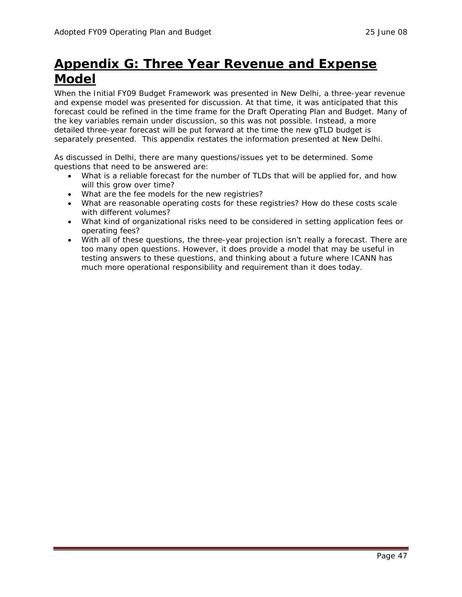## <span id="page-46-0"></span>**Appendix G: Three Year Revenue and Expense Model**

When the Initial FY09 Budget Framework was presented in New Delhi, a three-year revenue and expense model was presented for discussion. At that time, it was anticipated that this forecast could be refined in the time frame for the Draft Operating Plan and Budget. Many of the key variables remain under discussion, so this was not possible. Instead, a more detailed three-year forecast will be put forward at the time the new gTLD budget is separately presented. This appendix restates the information presented at New Delhi.

As discussed in Delhi, there are many questions/issues yet to be determined. Some questions that need to be answered are:

- What is a reliable forecast for the number of TLDs that will be applied for, and how will this grow over time?
- What are the fee models for the new registries?
- What are reasonable operating costs for these registries? How do these costs scale with different volumes?
- What kind of organizational risks need to be considered in setting application fees or operating fees?
- With all of these questions, the three-year projection isn't really a forecast. There are too many open questions. However, it does provide a model that may be useful in testing answers to these questions, and thinking about a future where ICANN has much more operational responsibility and requirement than it does today.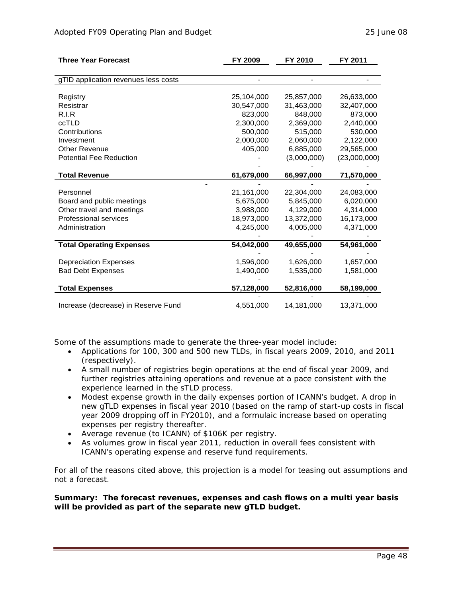| <b>Three Year Forecast</b>           | FY 2009    | FY 2010     | FY 2011      |
|--------------------------------------|------------|-------------|--------------|
|                                      |            |             |              |
| gTID application revenues less costs |            |             |              |
|                                      |            |             |              |
| Registry                             | 25,104,000 | 25,857,000  | 26,633,000   |
| Resistrar                            | 30,547,000 | 31,463,000  | 32,407,000   |
| R.I.R                                | 823,000    | 848,000     | 873,000      |
| ccTLD                                | 2,300,000  | 2,369,000   | 2,440,000    |
| Contributions                        | 500,000    | 515,000     | 530,000      |
| Investment                           | 2,000,000  | 2,060,000   | 2,122,000    |
| <b>Other Revenue</b>                 | 405,000    | 6,885,000   | 29,565,000   |
| <b>Potential Fee Reduction</b>       |            | (3,000,000) | (23,000,000) |
|                                      |            |             |              |
| <b>Total Revenue</b>                 | 61,679,000 | 66,997,000  | 71,570,000   |
|                                      |            |             |              |
| Personnel                            | 21,161,000 | 22.304.000  | 24,083,000   |
| Board and public meetings            | 5,675,000  | 5,845,000   | 6,020,000    |
| Other travel and meetings            | 3,988,000  | 4,129,000   | 4,314,000    |
| Professional services                | 18,973,000 | 13,372,000  | 16,173,000   |
| Administration                       | 4,245,000  | 4,005,000   | 4,371,000    |
|                                      |            |             |              |
| <b>Total Operating Expenses</b>      | 54,042,000 | 49,655,000  | 54,961,000   |
|                                      |            |             |              |
| <b>Depreciation Expenses</b>         | 1,596,000  | 1,626,000   | 1,657,000    |
| <b>Bad Debt Expenses</b>             | 1,490,000  | 1,535,000   | 1,581,000    |
|                                      |            |             |              |
| <b>Total Expenses</b>                | 57,128,000 | 52,816,000  | 58,199,000   |
|                                      |            |             |              |
| Increase (decrease) in Reserve Fund  | 4,551,000  | 14,181,000  | 13,371,000   |

Some of the assumptions made to generate the three-year model include:

- Applications for 100, 300 and 500 new TLDs, in fiscal years 2009, 2010, and 2011 (respectively).
- A small number of registries begin operations at the end of fiscal year 2009, and further registries attaining operations and revenue at a pace consistent with the experience learned in the sTLD process.
- Modest expense growth in the daily expenses portion of ICANN's budget. A drop in new gTLD expenses in fiscal year 2010 (based on the ramp of start-up costs in fiscal year 2009 dropping off in FY2010), and a formulaic increase based on operating expenses per registry thereafter.
- Average revenue (to ICANN) of \$106K per registry.
- As volumes grow in fiscal year 2011, reduction in overall fees consistent with ICANN's operating expense and reserve fund requirements.

For all of the reasons cited above, this projection is a model for teasing out assumptions and *not* a forecast.

**Summary: The forecast revenues, expenses and cash flows on a multi year basis will be provided as part of the separate new gTLD budget.**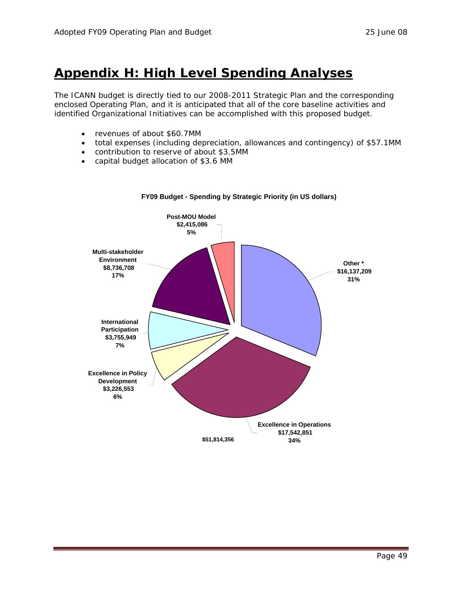## <span id="page-48-0"></span>**Appendix H: High Level Spending Analyses**

The ICANN budget is directly tied to our 2008-2011 Strategic Plan and the corresponding enclosed Operating Plan, and it is anticipated that all of the core baseline activities and identified Organizational Initiatives can be accomplished with this proposed budget.

- revenues of about \$60.7MM
- total expenses (including depreciation, allowances and contingency) of \$57.1MM
- contribution to reserve of about \$3.5MM
- capital budget allocation of \$3.6 MM



#### **FY09 Budget - Spending by Strategic Priority (in US dollars)**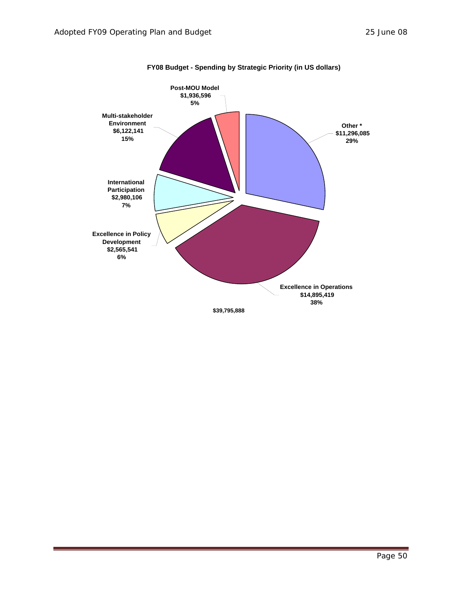

#### **FY08 Budget - Spending by Strategic Priority (in US dollars)**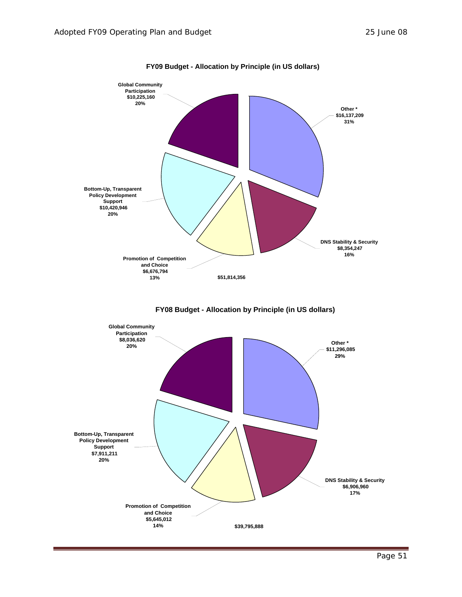

**FY09 Budget - Allocation by Principle (in US dollars)**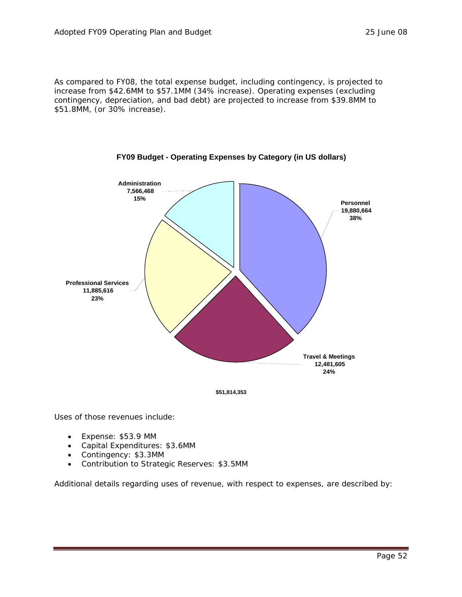As compared to FY08, the total expense budget, including contingency, is projected to increase from \$42.6MM to \$57.1MM (34% increase). Operating expenses (excluding contingency, depreciation, and bad debt) are projected to increase from \$39.8MM to \$51.8MM, (or 30% increase).





Uses of those revenues include:

- Expense: \$53.9 MM
- Capital Expenditures: \$3.6MM
- Contingency: \$3.3MM
- Contribution to Strategic Reserves: \$3.5MM

Additional details regarding uses of revenue, with respect to expenses, are described by: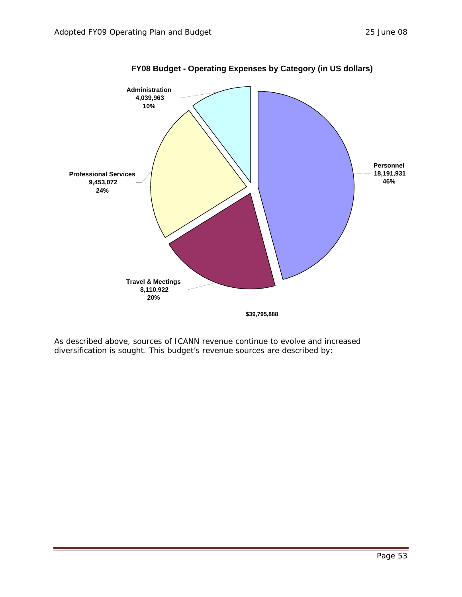

**FY08 Budget - Operating Expenses by Category (in US dollars)**

As described above, sources of ICANN revenue continue to evolve and increased diversification is sought. This budget's revenue sources are described by: